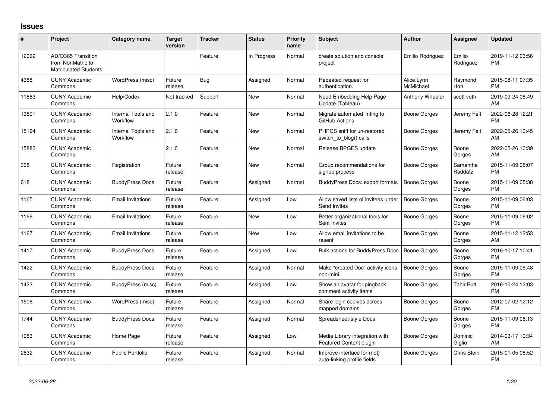## **Issues**

| $\pmb{\#}$ | Project                                                          | <b>Category name</b>           | <b>Target</b><br>version | <b>Tracker</b> | <b>Status</b> | <b>Priority</b><br>name | Subject                                                    | <b>Author</b>           | <b>Assignee</b>     | <b>Updated</b>                |
|------------|------------------------------------------------------------------|--------------------------------|--------------------------|----------------|---------------|-------------------------|------------------------------------------------------------|-------------------------|---------------------|-------------------------------|
| 12062      | AD/O365 Transition<br>from NonMatric to<br>Matriculated Students |                                |                          | Feature        | In Progress   | Normal                  | create solution and console<br>project                     | Emilio Rodriguez        | Emilio<br>Rodriguez | 2019-11-12 03:56<br><b>PM</b> |
| 4388       | <b>CUNY Academic</b><br>Commons                                  | WordPress (misc)               | Future<br>release        | Bug            | Assigned      | Normal                  | Repeated request for<br>authentication.                    | Alice.Lynn<br>McMichael | Raymond<br>Hoh      | 2015-08-11 07:35<br><b>PM</b> |
| 11883      | <b>CUNY Academic</b><br>Commons                                  | Help/Codex                     | Not tracked              | Support        | <b>New</b>    | Normal                  | Need Embedding Help Page<br>Update (Tableau)               | Anthony Wheeler         | scott voth          | 2019-09-24 08:49<br>AM        |
| 13891      | <b>CUNY Academic</b><br>Commons                                  | Internal Tools and<br>Workflow | 2.1.0                    | Feature        | New           | Normal                  | Migrate automated linting to<br>GitHub Actions             | Boone Gorges            | Jeremy Felt         | 2022-06-28 12:21<br><b>PM</b> |
| 15194      | <b>CUNY Academic</b><br>Commons                                  | Internal Tools and<br>Workflow | 2.1.0                    | Feature        | <b>New</b>    | Normal                  | PHPCS sniff for un-restored<br>switch_to_blog() calls      | Boone Gorges            | Jeremy Felt         | 2022-05-26 10:45<br>AM        |
| 15883      | <b>CUNY Academic</b><br>Commons                                  |                                | 2.1.0                    | Feature        | <b>New</b>    | Normal                  | Release BPGES update                                       | Boone Gorges            | Boone<br>Gorges     | 2022-05-26 10:39<br>AM        |
| 308        | <b>CUNY Academic</b><br>Commons                                  | Registration                   | Future<br>release        | Feature        | <b>New</b>    | Normal                  | Group recommendations for<br>signup process                | Boone Gorges            | Samantha<br>Raddatz | 2015-11-09 05:07<br><b>PM</b> |
| 618        | <b>CUNY Academic</b><br>Commons                                  | <b>BuddyPress Docs</b>         | Future<br>release        | Feature        | Assigned      | Normal                  | BuddyPress Docs: export formats                            | <b>Boone Gorges</b>     | Boone<br>Gorges     | 2015-11-09 05:38<br><b>PM</b> |
| 1165       | <b>CUNY Academic</b><br>Commons                                  | <b>Email Invitations</b>       | Future<br>release        | Feature        | Assigned      | Low                     | Allow saved lists of invitees under<br>Send Invites        | <b>Boone Gorges</b>     | Boone<br>Gorges     | 2015-11-09 06:03<br><b>PM</b> |
| 1166       | <b>CUNY Academic</b><br>Commons                                  | <b>Email Invitations</b>       | Future<br>release        | Feature        | <b>New</b>    | Low                     | Better organizational tools for<br>Sent Invites            | Boone Gorges            | Boone<br>Gorges     | 2015-11-09 06:02<br><b>PM</b> |
| 1167       | <b>CUNY Academic</b><br>Commons                                  | <b>Email Invitations</b>       | Future<br>release        | Feature        | <b>New</b>    | Low                     | Allow email invitations to be<br>resent                    | <b>Boone Gorges</b>     | Boone<br>Gorges     | 2015-11-12 12:53<br>AM        |
| 1417       | <b>CUNY Academic</b><br>Commons                                  | <b>BuddyPress Docs</b>         | Future<br>release        | Feature        | Assigned      | Low                     | Bulk actions for BuddyPress Docs                           | <b>Boone Gorges</b>     | Boone<br>Gorges     | 2016-10-17 10:41<br><b>PM</b> |
| 1422       | <b>CUNY Academic</b><br>Commons                                  | <b>BuddyPress Docs</b>         | Future<br>release        | Feature        | Assigned      | Normal                  | Make "created Doc" activity icons<br>non-mini              | <b>Boone Gorges</b>     | Boone<br>Gorges     | 2015-11-09 05:48<br><b>PM</b> |
| 1423       | <b>CUNY Academic</b><br>Commons                                  | <b>BuddyPress</b> (misc)       | Future<br>release        | Feature        | Assigned      | Low                     | Show an avatar for pingback<br>comment activity items      | Boone Gorges            | <b>Tahir Butt</b>   | 2016-10-24 12:03<br><b>PM</b> |
| 1508       | <b>CUNY Academic</b><br>Commons                                  | WordPress (misc)               | Future<br>release        | Feature        | Assigned      | Normal                  | Share login cookies across<br>mapped domains               | Boone Gorges            | Boone<br>Gorges     | 2012-07-02 12:12<br><b>PM</b> |
| 1744       | <b>CUNY Academic</b><br>Commons                                  | <b>BuddyPress Docs</b>         | Future<br>release        | Feature        | Assigned      | Normal                  | Spreadsheet-style Docs                                     | Boone Gorges            | Boone<br>Gorges     | 2015-11-09 06:13<br><b>PM</b> |
| 1983       | <b>CUNY Academic</b><br>Commons                                  | Home Page                      | Future<br>release        | Feature        | Assigned      | Low                     | Media Library integration with<br>Featured Content plugin  | Boone Gorges            | Dominic<br>Giglio   | 2014-03-17 10:34<br>AM        |
| 2832       | <b>CUNY Academic</b><br>Commons                                  | <b>Public Portfolio</b>        | Future<br>release        | Feature        | Assigned      | Normal                  | Improve interface for (not)<br>auto-linking profile fields | Boone Gorges            | Chris Stein         | 2015-01-05 08:52<br><b>PM</b> |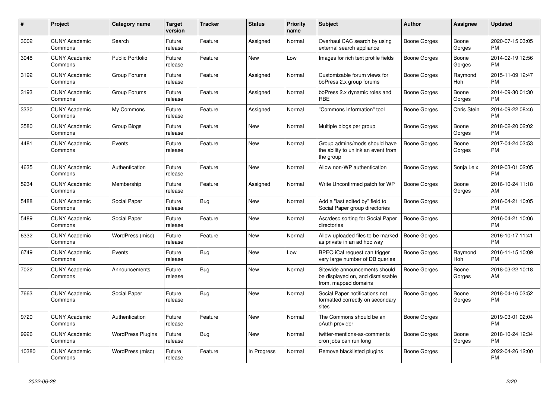| #     | <b>Project</b>                  | <b>Category name</b>     | <b>Target</b><br>version | <b>Tracker</b> | <b>Status</b> | <b>Priority</b><br>name | <b>Subject</b>                                                                            | <b>Author</b>       | Assignee        | <b>Updated</b>                |
|-------|---------------------------------|--------------------------|--------------------------|----------------|---------------|-------------------------|-------------------------------------------------------------------------------------------|---------------------|-----------------|-------------------------------|
| 3002  | <b>CUNY Academic</b><br>Commons | Search                   | Future<br>release        | Feature        | Assigned      | Normal                  | Overhaul CAC search by using<br>external search appliance                                 | Boone Gorges        | Boone<br>Gorges | 2020-07-15 03:05<br><b>PM</b> |
| 3048  | <b>CUNY Academic</b><br>Commons | <b>Public Portfolio</b>  | Future<br>release        | Feature        | <b>New</b>    | Low                     | Images for rich text profile fields                                                       | <b>Boone Gorges</b> | Boone<br>Gorges | 2014-02-19 12:56<br><b>PM</b> |
| 3192  | <b>CUNY Academic</b><br>Commons | Group Forums             | Future<br>release        | Feature        | Assigned      | Normal                  | Customizable forum views for<br>bbPress 2.x group forums                                  | Boone Gorges        | Raymond<br>Hoh  | 2015-11-09 12:47<br><b>PM</b> |
| 3193  | <b>CUNY Academic</b><br>Commons | Group Forums             | Future<br>release        | Feature        | Assigned      | Normal                  | bbPress 2.x dynamic roles and<br><b>RBE</b>                                               | Boone Gorges        | Boone<br>Gorges | 2014-09-30 01:30<br>PM        |
| 3330  | <b>CUNY Academic</b><br>Commons | My Commons               | Future<br>release        | Feature        | Assigned      | Normal                  | 'Commons Information" tool                                                                | <b>Boone Gorges</b> | Chris Stein     | 2014-09-22 08:46<br><b>PM</b> |
| 3580  | <b>CUNY Academic</b><br>Commons | Group Blogs              | Future<br>release        | Feature        | <b>New</b>    | Normal                  | Multiple blogs per group                                                                  | <b>Boone Gorges</b> | Boone<br>Gorges | 2018-02-20 02:02<br>РM        |
| 4481  | <b>CUNY Academic</b><br>Commons | Events                   | Future<br>release        | Feature        | <b>New</b>    | Normal                  | Group admins/mods should have<br>the ability to unlink an event from<br>the group         | <b>Boone Gorges</b> | Boone<br>Gorges | 2017-04-24 03:53<br>PM        |
| 4635  | <b>CUNY Academic</b><br>Commons | Authentication           | Future<br>release        | Feature        | <b>New</b>    | Normal                  | Allow non-WP authentication                                                               | Boone Gorges        | Sonja Leix      | 2019-03-01 02:05<br>PM        |
| 5234  | <b>CUNY Academic</b><br>Commons | Membership               | Future<br>release        | Feature        | Assigned      | Normal                  | Write Unconfirmed patch for WP                                                            | Boone Gorges        | Boone<br>Gorges | 2016-10-24 11:18<br>AM        |
| 5488  | <b>CUNY Academic</b><br>Commons | Social Paper             | Future<br>release        | Bug            | New           | Normal                  | Add a "last edited by" field to<br>Social Paper group directories                         | Boone Gorges        |                 | 2016-04-21 10:05<br><b>PM</b> |
| 5489  | <b>CUNY Academic</b><br>Commons | Social Paper             | Future<br>release        | Feature        | <b>New</b>    | Normal                  | Asc/desc sorting for Social Paper<br>directories                                          | <b>Boone Gorges</b> |                 | 2016-04-21 10:06<br>PM        |
| 6332  | <b>CUNY Academic</b><br>Commons | WordPress (misc)         | Future<br>release        | Feature        | New           | Normal                  | Allow uploaded files to be marked<br>as private in an ad hoc way                          | <b>Boone Gorges</b> |                 | 2016-10-17 11:41<br><b>PM</b> |
| 6749  | <b>CUNY Academic</b><br>Commons | Events                   | Future<br>release        | Bug            | <b>New</b>    | Low                     | BPEO iCal request can trigger<br>very large number of DB queries                          | <b>Boone Gorges</b> | Raymond<br>Hoh  | 2016-11-15 10:09<br><b>PM</b> |
| 7022  | <b>CUNY Academic</b><br>Commons | Announcements            | Future<br>release        | Bug            | <b>New</b>    | Normal                  | Sitewide announcements should<br>be displayed on, and dismissable<br>from, mapped domains | <b>Boone Gorges</b> | Boone<br>Gorges | 2018-03-22 10:18<br>AM        |
| 7663  | <b>CUNY Academic</b><br>Commons | Social Paper             | Future<br>release        | Bug            | <b>New</b>    | Normal                  | Social Paper notifications not<br>formatted correctly on secondary<br>sites               | <b>Boone Gorges</b> | Boone<br>Gorges | 2018-04-16 03:52<br><b>PM</b> |
| 9720  | <b>CUNY Academic</b><br>Commons | Authentication           | Future<br>release        | Feature        | <b>New</b>    | Normal                  | The Commons should be an<br>oAuth provider                                                | <b>Boone Gorges</b> |                 | 2019-03-01 02:04<br><b>PM</b> |
| 9926  | <b>CUNY Academic</b><br>Commons | <b>WordPress Plugins</b> | Future<br>release        | Bug            | <b>New</b>    | Normal                  | twitter-mentions-as-comments<br>cron jobs can run long                                    | Boone Gorges        | Boone<br>Gorges | 2018-10-24 12:34<br><b>PM</b> |
| 10380 | <b>CUNY Academic</b><br>Commons | WordPress (misc)         | Future<br>release        | Feature        | In Progress   | Normal                  | Remove blacklisted plugins                                                                | <b>Boone Gorges</b> |                 | 2022-04-26 12:00<br><b>PM</b> |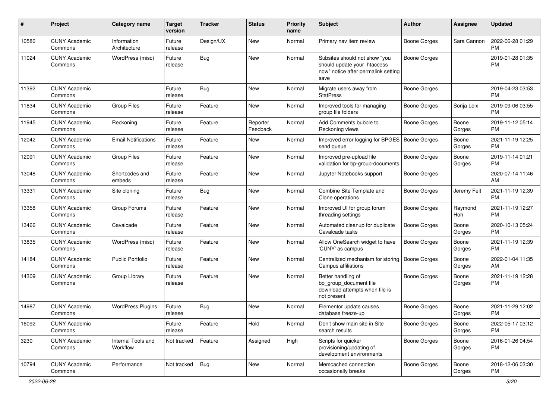| #     | Project                         | <b>Category name</b>           | <b>Target</b><br>version | <b>Tracker</b> | <b>Status</b>        | <b>Priority</b><br>name | Subject                                                                                                      | Author              | <b>Assignee</b> | <b>Updated</b>                |
|-------|---------------------------------|--------------------------------|--------------------------|----------------|----------------------|-------------------------|--------------------------------------------------------------------------------------------------------------|---------------------|-----------------|-------------------------------|
| 10580 | <b>CUNY Academic</b><br>Commons | Information<br>Architecture    | Future<br>release        | Design/UX      | New                  | Normal                  | Primary nav item review                                                                                      | Boone Gorges        | Sara Cannon     | 2022-06-28 01:29<br><b>PM</b> |
| 11024 | <b>CUNY Academic</b><br>Commons | WordPress (misc)               | Future<br>release        | Bug            | New                  | Normal                  | Subsites should not show "you<br>should update your .htaccess<br>now" notice after permalink setting<br>save | <b>Boone Gorges</b> |                 | 2019-01-28 01:35<br><b>PM</b> |
| 11392 | <b>CUNY Academic</b><br>Commons |                                | Future<br>release        | Bug            | <b>New</b>           | Normal                  | Migrate users away from<br><b>StatPress</b>                                                                  | <b>Boone Gorges</b> |                 | 2019-04-23 03:53<br><b>PM</b> |
| 11834 | <b>CUNY Academic</b><br>Commons | <b>Group Files</b>             | Future<br>release        | Feature        | New                  | Normal                  | Improved tools for managing<br>group file folders                                                            | Boone Gorges        | Sonja Leix      | 2019-09-06 03:55<br><b>PM</b> |
| 11945 | <b>CUNY Academic</b><br>Commons | Reckoning                      | Future<br>release        | Feature        | Reporter<br>Feedback | Normal                  | Add Comments bubble to<br>Reckoning views                                                                    | Boone Gorges        | Boone<br>Gorges | 2019-11-12 05:14<br><b>PM</b> |
| 12042 | <b>CUNY Academic</b><br>Commons | <b>Email Notifications</b>     | Future<br>release        | Feature        | New                  | Normal                  | Improved error logging for BPGES<br>send queue                                                               | Boone Gorges        | Boone<br>Gorges | 2021-11-19 12:25<br><b>PM</b> |
| 12091 | <b>CUNY Academic</b><br>Commons | <b>Group Files</b>             | Future<br>release        | Feature        | <b>New</b>           | Normal                  | Improved pre-upload file<br>validation for bp-group-documents                                                | Boone Gorges        | Boone<br>Gorges | 2019-11-14 01:21<br><b>PM</b> |
| 13048 | <b>CUNY Academic</b><br>Commons | Shortcodes and<br>embeds       | Future<br>release        | Feature        | New                  | Normal                  | Jupyter Notebooks support                                                                                    | <b>Boone Gorges</b> |                 | 2020-07-14 11:46<br>AM        |
| 13331 | <b>CUNY Academic</b><br>Commons | Site cloning                   | Future<br>release        | <b>Bug</b>     | <b>New</b>           | Normal                  | Combine Site Template and<br>Clone operations                                                                | Boone Gorges        | Jeremy Felt     | 2021-11-19 12:39<br><b>PM</b> |
| 13358 | <b>CUNY Academic</b><br>Commons | Group Forums                   | Future<br>release        | Feature        | <b>New</b>           | Normal                  | Improved UI for group forum<br>threading settings                                                            | Boone Gorges        | Raymond<br>Hoh  | 2021-11-19 12:27<br><b>PM</b> |
| 13466 | <b>CUNY Academic</b><br>Commons | Cavalcade                      | Future<br>release        | Feature        | New                  | Normal                  | Automated cleanup for duplicate<br>Cavalcade tasks                                                           | Boone Gorges        | Boone<br>Gorges | 2020-10-13 05:24<br><b>PM</b> |
| 13835 | <b>CUNY Academic</b><br>Commons | WordPress (misc)               | Future<br>release        | Feature        | New                  | Normal                  | Allow OneSearch widget to have<br>'CUNY' as campus                                                           | Boone Gorges        | Boone<br>Gorges | 2021-11-19 12:39<br><b>PM</b> |
| 14184 | <b>CUNY Academic</b><br>Commons | <b>Public Portfolio</b>        | Future<br>release        | Feature        | New                  | Normal                  | Centralized mechanism for storing<br>Campus affiliations                                                     | Boone Gorges        | Boone<br>Gorges | 2022-01-04 11:35<br>AM        |
| 14309 | <b>CUNY Academic</b><br>Commons | Group Library                  | Future<br>release        | Feature        | New                  | Normal                  | Better handling of<br>bp group document file<br>download attempts when file is<br>not present                | Boone Gorges        | Boone<br>Gorges | 2021-11-19 12:28<br><b>PM</b> |
| 14987 | <b>CUNY Academic</b><br>Commons | <b>WordPress Plugins</b>       | Future<br>release        | Bug            | <b>New</b>           | Normal                  | Elementor update causes<br>database freeze-up                                                                | Boone Gorges        | Boone<br>Gorges | 2021-11-29 12:02<br><b>PM</b> |
| 16092 | <b>CUNY Academic</b><br>Commons |                                | Future<br>release        | Feature        | Hold                 | Normal                  | Don't show main site in Site<br>search results                                                               | Boone Gorges        | Boone<br>Gorges | 2022-05-17 03:12<br>PM        |
| 3230  | <b>CUNY Academic</b><br>Commons | Internal Tools and<br>Workflow | Not tracked              | Feature        | Assigned             | High                    | Scripts for quicker<br>provisioning/updating of<br>development environments                                  | <b>Boone Gorges</b> | Boone<br>Gorges | 2016-01-26 04:54<br><b>PM</b> |
| 10794 | <b>CUNY Academic</b><br>Commons | Performance                    | Not tracked              | Bug            | New                  | Normal                  | Memcached connection<br>occasionally breaks                                                                  | Boone Gorges        | Boone<br>Gorges | 2018-12-06 03:30<br>PM        |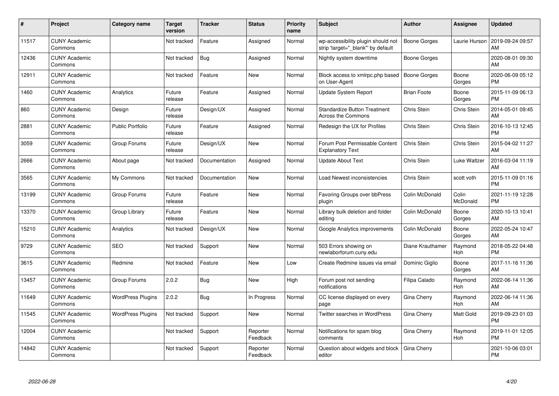| #     | Project                         | <b>Category name</b>     | <b>Target</b><br>version | <b>Tracker</b> | <b>Status</b>        | <b>Priority</b><br>name | <b>Subject</b>                                                          | <b>Author</b>       | <b>Assignee</b>       | <b>Updated</b>                |
|-------|---------------------------------|--------------------------|--------------------------|----------------|----------------------|-------------------------|-------------------------------------------------------------------------|---------------------|-----------------------|-------------------------------|
| 11517 | <b>CUNY Academic</b><br>Commons |                          | Not tracked              | Feature        | Assigned             | Normal                  | wp-accessibility plugin should not<br>strip 'target=" blank" by default | <b>Boone Gorges</b> | Laurie Hurson         | 2019-09-24 09:57<br>AM        |
| 12436 | <b>CUNY Academic</b><br>Commons |                          | Not tracked              | Bug            | Assigned             | Normal                  | Nightly system downtime                                                 | Boone Gorges        |                       | 2020-08-01 09:30<br>AM        |
| 12911 | <b>CUNY Academic</b><br>Commons |                          | Not tracked              | Feature        | <b>New</b>           | Normal                  | Block access to xmlrpc.php based<br>on User-Agent                       | <b>Boone Gorges</b> | Boone<br>Gorges       | 2020-06-09 05:12<br><b>PM</b> |
| 1460  | <b>CUNY Academic</b><br>Commons | Analytics                | Future<br>release        | Feature        | Assigned             | Normal                  | Update System Report                                                    | <b>Brian Foote</b>  | Boone<br>Gorges       | 2015-11-09 06:13<br><b>PM</b> |
| 860   | <b>CUNY Academic</b><br>Commons | Design                   | Future<br>release        | Design/UX      | Assigned             | Normal                  | <b>Standardize Button Treatment</b><br>Across the Commons               | Chris Stein         | Chris Stein           | 2014-05-01 09:45<br>AM        |
| 2881  | <b>CUNY Academic</b><br>Commons | <b>Public Portfolio</b>  | Future<br>release        | Feature        | Assigned             | Normal                  | Redesign the UX for Profiles                                            | Chris Stein         | Chris Stein           | 2016-10-13 12:45<br><b>PM</b> |
| 3059  | <b>CUNY Academic</b><br>Commons | Group Forums             | Future<br>release        | Design/UX      | <b>New</b>           | Normal                  | Forum Post Permissable Content<br><b>Explanatory Text</b>               | Chris Stein         | Chris Stein           | 2015-04-02 11:27<br>AM        |
| 2666  | <b>CUNY Academic</b><br>Commons | About page               | Not tracked              | Documentation  | Assigned             | Normal                  | Update About Text                                                       | Chris Stein         | Luke Waltzer          | 2016-03-04 11:19<br>AM        |
| 3565  | <b>CUNY Academic</b><br>Commons | My Commons               | Not tracked              | Documentation  | <b>New</b>           | Normal                  | Load Newest inconsistencies                                             | Chris Stein         | scott voth            | 2015-11-09 01:16<br><b>PM</b> |
| 13199 | <b>CUNY Academic</b><br>Commons | Group Forums             | Future<br>release        | Feature        | <b>New</b>           | Normal                  | Favoring Groups over bbPress<br>plugin                                  | Colin McDonald      | Colin<br>McDonald     | 2021-11-19 12:28<br><b>PM</b> |
| 13370 | <b>CUNY Academic</b><br>Commons | Group Library            | Future<br>release        | Feature        | New                  | Normal                  | Library bulk deletion and folder<br>editing                             | Colin McDonald      | Boone<br>Gorges       | 2020-10-13 10:41<br>AM        |
| 15210 | <b>CUNY Academic</b><br>Commons | Analytics                | Not tracked              | Design/UX      | <b>New</b>           | Normal                  | Google Analytics improvements                                           | Colin McDonald      | Boone<br>Gorges       | 2022-05-24 10:47<br>AM        |
| 9729  | <b>CUNY Academic</b><br>Commons | <b>SEO</b>               | Not tracked              | Support        | <b>New</b>           | Normal                  | 503 Errors showing on<br>newlaborforum.cuny.edu                         | Diane Krauthamer    | Raymond<br><b>Hoh</b> | 2018-05-22 04:48<br><b>PM</b> |
| 3615  | <b>CUNY Academic</b><br>Commons | Redmine                  | Not tracked              | Feature        | <b>New</b>           | Low                     | Create Redmine issues via email                                         | Dominic Giglio      | Boone<br>Gorges       | 2017-11-16 11:36<br>AM        |
| 13457 | <b>CUNY Academic</b><br>Commons | Group Forums             | 2.0.2                    | <b>Bug</b>     | <b>New</b>           | High                    | Forum post not sending<br>notifications                                 | Filipa Calado       | Raymond<br><b>Hoh</b> | 2022-06-14 11:36<br>AM        |
| 11649 | <b>CUNY Academic</b><br>Commons | <b>WordPress Plugins</b> | 2.0.2                    | Bug            | In Progress          | Normal                  | CC license displayed on every<br>page                                   | Gina Cherry         | Raymond<br><b>Hoh</b> | 2022-06-14 11:36<br>AM        |
| 11545 | <b>CUNY Academic</b><br>Commons | <b>WordPress Plugins</b> | Not tracked              | Support        | <b>New</b>           | Normal                  | <b>Twitter searches in WordPress</b>                                    | Gina Cherry         | <b>Matt Gold</b>      | 2019-09-23 01:03<br><b>PM</b> |
| 12004 | <b>CUNY Academic</b><br>Commons |                          | Not tracked              | Support        | Reporter<br>Feedback | Normal                  | Notifications for spam blog<br>comments                                 | Gina Cherry         | Raymond<br>Hoh        | 2019-11-01 12:05<br><b>PM</b> |
| 14842 | <b>CUNY Academic</b><br>Commons |                          | Not tracked              | Support        | Reporter<br>Feedback | Normal                  | Question about widgets and block<br>editor                              | Gina Cherry         |                       | 2021-10-06 03:01<br><b>PM</b> |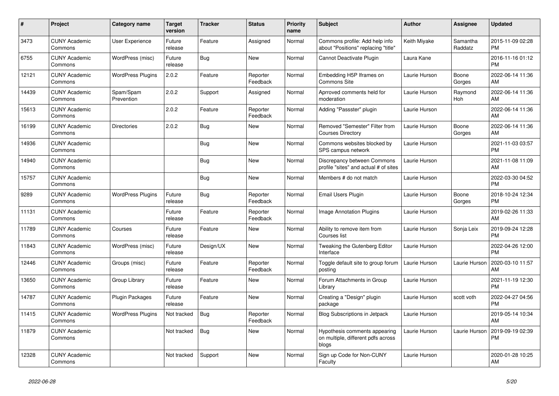| $\pmb{\#}$ | Project                         | Category name            | <b>Target</b><br>version | Tracker    | <b>Status</b>        | <b>Priority</b><br>name | <b>Subject</b>                                                               | <b>Author</b> | Assignee            | <b>Updated</b>                |
|------------|---------------------------------|--------------------------|--------------------------|------------|----------------------|-------------------------|------------------------------------------------------------------------------|---------------|---------------------|-------------------------------|
| 3473       | <b>CUNY Academic</b><br>Commons | <b>User Experience</b>   | Future<br>release        | Feature    | Assigned             | Normal                  | Commons profile: Add help info<br>about "Positions" replacing "title"        | Keith Miyake  | Samantha<br>Raddatz | 2015-11-09 02:28<br><b>PM</b> |
| 6755       | <b>CUNY Academic</b><br>Commons | WordPress (misc)         | Future<br>release        | <b>Bug</b> | <b>New</b>           | Normal                  | Cannot Deactivate Plugin                                                     | Laura Kane    |                     | 2016-11-16 01:12<br><b>PM</b> |
| 12121      | <b>CUNY Academic</b><br>Commons | WordPress Plugins        | 2.0.2                    | Feature    | Reporter<br>Feedback | Normal                  | Embedding H5P Iframes on<br>Commons Site                                     | Laurie Hurson | Boone<br>Gorges     | 2022-06-14 11:36<br>AM        |
| 14439      | <b>CUNY Academic</b><br>Commons | Spam/Spam<br>Prevention  | 2.0.2                    | Support    | Assigned             | Normal                  | Aprroved comments held for<br>moderation                                     | Laurie Hurson | Raymond<br>Hoh      | 2022-06-14 11:36<br>AM        |
| 15613      | <b>CUNY Academic</b><br>Commons |                          | 2.0.2                    | Feature    | Reporter<br>Feedback | Normal                  | Adding "Passster" plugin                                                     | Laurie Hurson |                     | 2022-06-14 11:36<br>AM        |
| 16199      | <b>CUNY Academic</b><br>Commons | <b>Directories</b>       | 2.0.2                    | Bug        | <b>New</b>           | Normal                  | Removed "Semester" Filter from<br><b>Courses Directory</b>                   | Laurie Hurson | Boone<br>Gorges     | 2022-06-14 11:36<br>AM        |
| 14936      | <b>CUNY Academic</b><br>Commons |                          |                          | <b>Bug</b> | <b>New</b>           | Normal                  | Commons websites blocked by<br>SPS campus network                            | Laurie Hurson |                     | 2021-11-03 03:57<br><b>PM</b> |
| 14940      | <b>CUNY Academic</b><br>Commons |                          |                          | Bug        | <b>New</b>           | Normal                  | Discrepancy between Commons<br>profile "sites" and actual # of sites         | Laurie Hurson |                     | 2021-11-08 11:09<br>AM        |
| 15757      | <b>CUNY Academic</b><br>Commons |                          |                          | <b>Bug</b> | <b>New</b>           | Normal                  | Members # do not match                                                       | Laurie Hurson |                     | 2022-03-30 04:52<br><b>PM</b> |
| 9289       | <b>CUNY Academic</b><br>Commons | <b>WordPress Plugins</b> | Future<br>release        | <b>Bug</b> | Reporter<br>Feedback | Normal                  | Email Users Plugin                                                           | Laurie Hurson | Boone<br>Gorges     | 2018-10-24 12:34<br><b>PM</b> |
| 11131      | <b>CUNY Academic</b><br>Commons |                          | Future<br>release        | Feature    | Reporter<br>Feedback | Normal                  | <b>Image Annotation Plugins</b>                                              | Laurie Hurson |                     | 2019-02-26 11:33<br>AM        |
| 11789      | <b>CUNY Academic</b><br>Commons | Courses                  | Future<br>release        | Feature    | <b>New</b>           | Normal                  | Ability to remove item from<br>Courses list                                  | Laurie Hurson | Sonja Leix          | 2019-09-24 12:28<br><b>PM</b> |
| 11843      | <b>CUNY Academic</b><br>Commons | WordPress (misc)         | Future<br>release        | Design/UX  | <b>New</b>           | Normal                  | Tweaking the Gutenberg Editor<br>Interface                                   | Laurie Hurson |                     | 2022-04-26 12:00<br><b>PM</b> |
| 12446      | <b>CUNY Academic</b><br>Commons | Groups (misc)            | Future<br>release        | Feature    | Reporter<br>Feedback | Normal                  | Toggle default site to group forum<br>posting                                | Laurie Hurson | Laurie Hurson       | 2020-03-10 11:57<br>AM        |
| 13650      | <b>CUNY Academic</b><br>Commons | Group Library            | Future<br>release        | Feature    | <b>New</b>           | Normal                  | Forum Attachments in Group<br>Library                                        | Laurie Hurson |                     | 2021-11-19 12:30<br><b>PM</b> |
| 14787      | <b>CUNY Academic</b><br>Commons | Plugin Packages          | Future<br>release        | Feature    | <b>New</b>           | Normal                  | Creating a "Design" plugin<br>package                                        | Laurie Hurson | scott voth          | 2022-04-27 04:56<br><b>PM</b> |
| 11415      | <b>CUNY Academic</b><br>Commons | <b>WordPress Plugins</b> | Not tracked              | <b>Bug</b> | Reporter<br>Feedback | Normal                  | <b>Blog Subscriptions in Jetpack</b>                                         | Laurie Hurson |                     | 2019-05-14 10:34<br>AM        |
| 11879      | <b>CUNY Academic</b><br>Commons |                          | Not tracked              | <b>Bug</b> | <b>New</b>           | Normal                  | Hypothesis comments appearing<br>on multiple, different pdfs across<br>blogs | Laurie Hurson | Laurie Hurson       | 2019-09-19 02:39<br><b>PM</b> |
| 12328      | <b>CUNY Academic</b><br>Commons |                          | Not tracked              | Support    | <b>New</b>           | Normal                  | Sign up Code for Non-CUNY<br>Faculty                                         | Laurie Hurson |                     | 2020-01-28 10:25<br>AM        |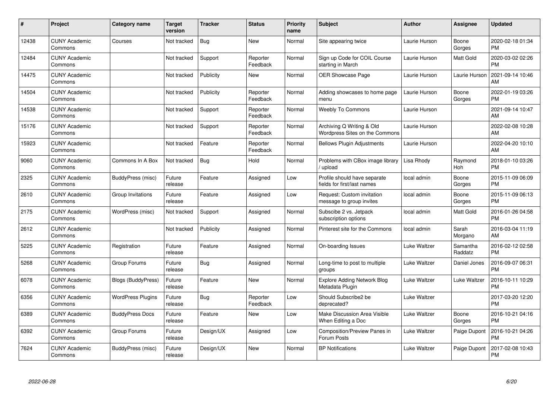| #     | <b>Project</b>                  | <b>Category name</b>      | <b>Target</b><br>version | <b>Tracker</b> | <b>Status</b>        | <b>Priority</b><br>name | <b>Subject</b>                                              | <b>Author</b> | <b>Assignee</b>     | <b>Updated</b>                |
|-------|---------------------------------|---------------------------|--------------------------|----------------|----------------------|-------------------------|-------------------------------------------------------------|---------------|---------------------|-------------------------------|
| 12438 | <b>CUNY Academic</b><br>Commons | Courses                   | Not tracked              | <b>Bug</b>     | <b>New</b>           | Normal                  | Site appearing twice                                        | Laurie Hurson | Boone<br>Gorges     | 2020-02-18 01:34<br><b>PM</b> |
| 12484 | <b>CUNY Academic</b><br>Commons |                           | Not tracked              | Support        | Reporter<br>Feedback | Normal                  | Sign up Code for COIL Course<br>starting in March           | Laurie Hurson | <b>Matt Gold</b>    | 2020-03-02 02:26<br><b>PM</b> |
| 14475 | <b>CUNY Academic</b><br>Commons |                           | Not tracked              | Publicity      | <b>New</b>           | Normal                  | <b>OER Showcase Page</b>                                    | Laurie Hurson | Laurie Hurson       | 2021-09-14 10:46<br>AM        |
| 14504 | <b>CUNY Academic</b><br>Commons |                           | Not tracked              | Publicity      | Reporter<br>Feedback | Normal                  | Adding showcases to home page<br>menu                       | Laurie Hurson | Boone<br>Gorges     | 2022-01-19 03:26<br><b>PM</b> |
| 14538 | <b>CUNY Academic</b><br>Commons |                           | Not tracked              | Support        | Reporter<br>Feedback | Normal                  | <b>Weebly To Commons</b>                                    | Laurie Hurson |                     | 2021-09-14 10:47<br>AM        |
| 15176 | <b>CUNY Academic</b><br>Commons |                           | Not tracked              | Support        | Reporter<br>Feedback | Normal                  | Archiving Q Writing & Old<br>Wordpress Sites on the Commons | Laurie Hurson |                     | 2022-02-08 10:28<br>AM        |
| 15923 | <b>CUNY Academic</b><br>Commons |                           | Not tracked              | Feature        | Reporter<br>Feedback | Normal                  | <b>Bellows Plugin Adjustments</b>                           | Laurie Hurson |                     | 2022-04-20 10:10<br>AM        |
| 9060  | <b>CUNY Academic</b><br>Commons | Commons In A Box          | Not tracked              | <b>Bug</b>     | Hold                 | Normal                  | Problems with CBox image library<br>upload                  | Lisa Rhody    | Raymond<br>Hoh      | 2018-01-10 03:26<br><b>PM</b> |
| 2325  | <b>CUNY Academic</b><br>Commons | BuddyPress (misc)         | Future<br>release        | Feature        | Assigned             | Low                     | Profile should have separate<br>fields for first/last names | local admin   | Boone<br>Gorges     | 2015-11-09 06:09<br><b>PM</b> |
| 2610  | <b>CUNY Academic</b><br>Commons | Group Invitations         | Future<br>release        | Feature        | Assigned             | Low                     | Request: Custom invitation<br>message to group invites      | local admin   | Boone<br>Gorges     | 2015-11-09 06:13<br><b>PM</b> |
| 2175  | <b>CUNY Academic</b><br>Commons | WordPress (misc)          | Not tracked              | Support        | Assigned             | Normal                  | Subscibe 2 vs. Jetpack<br>subscription options              | local admin   | Matt Gold           | 2016-01-26 04:58<br><b>PM</b> |
| 2612  | <b>CUNY Academic</b><br>Commons |                           | Not tracked              | Publicity      | Assigned             | Normal                  | Pinterest site for the Commons                              | local admin   | Sarah<br>Morgano    | 2016-03-04 11:19<br>AM        |
| 5225  | <b>CUNY Academic</b><br>Commons | Registration              | Future<br>release        | Feature        | Assigned             | Normal                  | On-boarding Issues                                          | Luke Waltzer  | Samantha<br>Raddatz | 2016-02-12 02:58<br><b>PM</b> |
| 5268  | <b>CUNY Academic</b><br>Commons | Group Forums              | Future<br>release        | Bug            | Assigned             | Normal                  | Long-time to post to multiple<br>groups                     | Luke Waltzer  | Daniel Jones        | 2016-09-07 06:31<br><b>PM</b> |
| 6078  | <b>CUNY Academic</b><br>Commons | <b>Blogs (BuddyPress)</b> | Future<br>release        | Feature        | <b>New</b>           | Normal                  | <b>Explore Adding Network Blog</b><br>Metadata Plugin       | Luke Waltzer  | Luke Waltzer        | 2016-10-11 10:29<br><b>PM</b> |
| 6356  | <b>CUNY Academic</b><br>Commons | <b>WordPress Plugins</b>  | Future<br>release        | Bug            | Reporter<br>Feedback | Low                     | Should Subscribe2 be<br>deprecated?                         | Luke Waltzer  |                     | 2017-03-20 12:20<br><b>PM</b> |
| 6389  | <b>CUNY Academic</b><br>Commons | <b>BuddyPress Docs</b>    | Future<br>release        | Feature        | New                  | Low                     | Make Discussion Area Visible<br>When Editing a Doc          | Luke Waltzer  | Boone<br>Gorges     | 2016-10-21 04:16<br><b>PM</b> |
| 6392  | <b>CUNY Academic</b><br>Commons | Group Forums              | Future<br>release        | Design/UX      | Assigned             | Low                     | Composition/Preview Panes in<br>Forum Posts                 | Luke Waltzer  | Paige Dupont        | 2016-10-21 04:26<br><b>PM</b> |
| 7624  | <b>CUNY Academic</b><br>Commons | BuddyPress (misc)         | Future<br>release        | Design/UX      | <b>New</b>           | Normal                  | <b>BP Notifications</b>                                     | Luke Waltzer  | Paige Dupont        | 2017-02-08 10:43<br>PM        |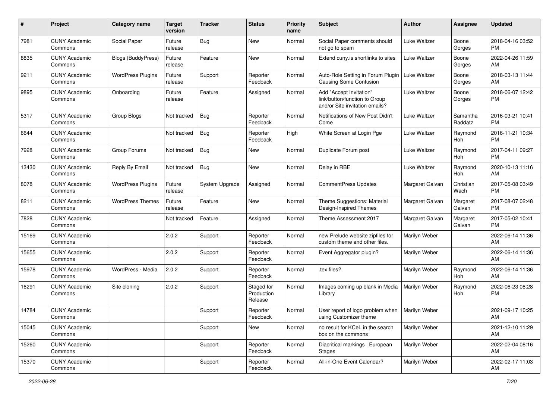| $\pmb{\#}$ | Project                         | <b>Category name</b>      | <b>Target</b><br>version | <b>Tracker</b> | <b>Status</b>                       | <b>Priority</b><br>name | <b>Subject</b>                                                                             | <b>Author</b>   | <b>Assignee</b>     | <b>Updated</b>                |
|------------|---------------------------------|---------------------------|--------------------------|----------------|-------------------------------------|-------------------------|--------------------------------------------------------------------------------------------|-----------------|---------------------|-------------------------------|
| 7981       | <b>CUNY Academic</b><br>Commons | Social Paper              | Future<br>release        | <b>Bug</b>     | <b>New</b>                          | Normal                  | Social Paper comments should<br>not go to spam                                             | Luke Waltzer    | Boone<br>Gorges     | 2018-04-16 03:52<br><b>PM</b> |
| 8835       | <b>CUNY Academic</b><br>Commons | <b>Blogs (BuddyPress)</b> | Future<br>release        | Feature        | <b>New</b>                          | Normal                  | Extend cuny.is shortlinks to sites                                                         | Luke Waltzer    | Boone<br>Gorges     | 2022-04-26 11:59<br>AM        |
| 9211       | <b>CUNY Academic</b><br>Commons | <b>WordPress Plugins</b>  | Future<br>release        | Support        | Reporter<br>Feedback                | Normal                  | Auto-Role Setting in Forum Plugin<br><b>Causing Some Confusion</b>                         | Luke Waltzer    | Boone<br>Gorges     | 2018-03-13 11:44<br>AM        |
| 9895       | <b>CUNY Academic</b><br>Commons | Onboarding                | Future<br>release        | Feature        | Assigned                            | Normal                  | Add "Accept Invitation"<br>link/button/function to Group<br>and/or Site invitation emails? | Luke Waltzer    | Boone<br>Gorges     | 2018-06-07 12:42<br><b>PM</b> |
| 5317       | <b>CUNY Academic</b><br>Commons | Group Blogs               | Not tracked              | <b>Bug</b>     | Reporter<br>Feedback                | Normal                  | Notifications of New Post Didn't<br>Come                                                   | Luke Waltzer    | Samantha<br>Raddatz | 2016-03-21 10:41<br><b>PM</b> |
| 6644       | <b>CUNY Academic</b><br>Commons |                           | Not tracked              | <b>Bug</b>     | Reporter<br>Feedback                | High                    | White Screen at Login Pge                                                                  | Luke Waltzer    | Raymond<br>Hoh      | 2016-11-21 10:34<br><b>PM</b> |
| 7928       | <b>CUNY Academic</b><br>Commons | Group Forums              | Not tracked              | Bug            | New                                 | Normal                  | Duplicate Forum post                                                                       | Luke Waltzer    | Raymond<br>Hoh      | 2017-04-11 09:27<br><b>PM</b> |
| 13430      | <b>CUNY Academic</b><br>Commons | Reply By Email            | Not tracked              | Bug            | New                                 | Normal                  | Delay in RBE                                                                               | Luke Waltzer    | Raymond<br>Hoh      | 2020-10-13 11:16<br>AM        |
| 8078       | <b>CUNY Academic</b><br>Commons | <b>WordPress Plugins</b>  | Future<br>release        | System Upgrade | Assigned                            | Normal                  | CommentPress Updates                                                                       | Margaret Galvan | Christian<br>Wach   | 2017-05-08 03:49<br><b>PM</b> |
| 8211       | <b>CUNY Academic</b><br>Commons | <b>WordPress Themes</b>   | Future<br>release        | Feature        | <b>New</b>                          | Normal                  | Theme Suggestions: Material<br>Design-Inspired Themes                                      | Margaret Galvan | Margaret<br>Galvan  | 2017-08-07 02:48<br><b>PM</b> |
| 7828       | <b>CUNY Academic</b><br>Commons |                           | Not tracked              | Feature        | Assigned                            | Normal                  | Theme Assessment 2017                                                                      | Margaret Galvan | Margaret<br>Galvan  | 2017-05-02 10:41<br><b>PM</b> |
| 15169      | <b>CUNY Academic</b><br>Commons |                           | 2.0.2                    | Support        | Reporter<br>Feedback                | Normal                  | new Prelude website zipfiles for<br>custom theme and other files.                          | Marilyn Weber   |                     | 2022-06-14 11:36<br>AM        |
| 15655      | <b>CUNY Academic</b><br>Commons |                           | 2.0.2                    | Support        | Reporter<br>Feedback                | Normal                  | Event Aggregator plugin?                                                                   | Marilyn Weber   |                     | 2022-06-14 11:36<br>AM        |
| 15978      | <b>CUNY Academic</b><br>Commons | WordPress - Media         | 2.0.2                    | Support        | Reporter<br>Feedback                | Normal                  | tex files?                                                                                 | Marilyn Weber   | Raymond<br>Hoh      | 2022-06-14 11:36<br>AM        |
| 16291      | <b>CUNY Academic</b><br>Commons | Site cloning              | 2.0.2                    | Support        | Staged for<br>Production<br>Release | Normal                  | Images coming up blank in Media<br>Library                                                 | Marilyn Weber   | Raymond<br>Hoh      | 2022-06-23 08:28<br><b>PM</b> |
| 14784      | <b>CUNY Academic</b><br>Commons |                           |                          | Support        | Reporter<br>Feedback                | Normal                  | User report of logo problem when<br>using Customizer theme                                 | Marilyn Weber   |                     | 2021-09-17 10:25<br>AM        |
| 15045      | <b>CUNY Academic</b><br>Commons |                           |                          | Support        | New                                 | Normal                  | no result for KCeL in the search<br>box on the commons                                     | Marilyn Weber   |                     | 2021-12-10 11:29<br>AM        |
| 15260      | <b>CUNY Academic</b><br>Commons |                           |                          | Support        | Reporter<br>Feedback                | Normal                  | Diacritical markings   European<br><b>Stages</b>                                           | Marilyn Weber   |                     | 2022-02-04 08:16<br>AM        |
| 15370      | <b>CUNY Academic</b><br>Commons |                           |                          | Support        | Reporter<br>Feedback                | Normal                  | All-in-One Event Calendar?                                                                 | Marilyn Weber   |                     | 2022-02-17 11:03<br>AM        |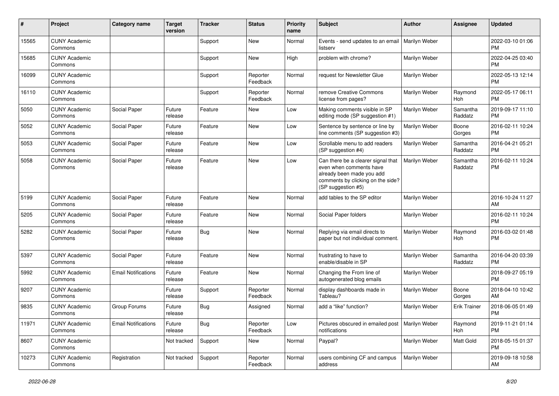| #     | Project                         | <b>Category name</b>       | <b>Target</b><br>version | <b>Tracker</b> | <b>Status</b>        | <b>Priority</b><br>name | Subject                                                                                                                                               | <b>Author</b> | Assignee            | <b>Updated</b>                |
|-------|---------------------------------|----------------------------|--------------------------|----------------|----------------------|-------------------------|-------------------------------------------------------------------------------------------------------------------------------------------------------|---------------|---------------------|-------------------------------|
| 15565 | <b>CUNY Academic</b><br>Commons |                            |                          | Support        | <b>New</b>           | Normal                  | Events - send updates to an email<br>listserv                                                                                                         | Marilyn Weber |                     | 2022-03-10 01:06<br><b>PM</b> |
| 15685 | <b>CUNY Academic</b><br>Commons |                            |                          | Support        | New                  | High                    | problem with chrome?                                                                                                                                  | Marilyn Weber |                     | 2022-04-25 03:40<br><b>PM</b> |
| 16099 | <b>CUNY Academic</b><br>Commons |                            |                          | Support        | Reporter<br>Feedback | Normal                  | request for Newsletter Glue                                                                                                                           | Marilyn Weber |                     | 2022-05-13 12:14<br><b>PM</b> |
| 16110 | <b>CUNY Academic</b><br>Commons |                            |                          | Support        | Reporter<br>Feedback | Normal                  | remove Creative Commons<br>license from pages?                                                                                                        | Marilyn Weber | Raymond<br>Hoh      | 2022-05-17 06:11<br><b>PM</b> |
| 5050  | <b>CUNY Academic</b><br>Commons | Social Paper               | Future<br>release        | Feature        | <b>New</b>           | Low                     | Making comments visible in SP<br>editing mode (SP suggestion #1)                                                                                      | Marilyn Weber | Samantha<br>Raddatz | 2019-09-17 11:10<br><b>PM</b> |
| 5052  | <b>CUNY Academic</b><br>Commons | Social Paper               | Future<br>release        | Feature        | New                  | Low                     | Sentence by sentence or line by<br>line comments (SP suggestion #3)                                                                                   | Marilyn Weber | Boone<br>Gorges     | 2016-02-11 10:24<br><b>PM</b> |
| 5053  | <b>CUNY Academic</b><br>Commons | Social Paper               | Future<br>release        | Feature        | New                  | Low                     | Scrollable menu to add readers<br>(SP suggestion #4)                                                                                                  | Marilyn Weber | Samantha<br>Raddatz | 2016-04-21 05:21<br><b>PM</b> |
| 5058  | <b>CUNY Academic</b><br>Commons | Social Paper               | Future<br>release        | Feature        | <b>New</b>           | Low                     | Can there be a clearer signal that<br>even when comments have<br>already been made you add<br>comments by clicking on the side?<br>(SP suggestion #5) | Marilyn Weber | Samantha<br>Raddatz | 2016-02-11 10:24<br><b>PM</b> |
| 5199  | <b>CUNY Academic</b><br>Commons | Social Paper               | Future<br>release        | Feature        | New                  | Normal                  | add tables to the SP editor                                                                                                                           | Marilyn Weber |                     | 2016-10-24 11:27<br>AM        |
| 5205  | <b>CUNY Academic</b><br>Commons | Social Paper               | Future<br>release        | Feature        | <b>New</b>           | Normal                  | Social Paper folders                                                                                                                                  | Marilyn Weber |                     | 2016-02-11 10:24<br><b>PM</b> |
| 5282  | <b>CUNY Academic</b><br>Commons | Social Paper               | Future<br>release        | Bug            | New                  | Normal                  | Replying via email directs to<br>paper but not individual comment.                                                                                    | Marilyn Weber | Raymond<br>Hoh      | 2016-03-02 01:48<br><b>PM</b> |
| 5397  | <b>CUNY Academic</b><br>Commons | Social Paper               | Future<br>release        | Feature        | <b>New</b>           | Normal                  | frustrating to have to<br>enable/disable in SP                                                                                                        | Marilyn Weber | Samantha<br>Raddatz | 2016-04-20 03:39<br><b>PM</b> |
| 5992  | <b>CUNY Academic</b><br>Commons | <b>Email Notifications</b> | Future<br>release        | Feature        | <b>New</b>           | Normal                  | Changing the From line of<br>autogenerated blog emails                                                                                                | Marilyn Weber |                     | 2018-09-27 05:19<br><b>PM</b> |
| 9207  | <b>CUNY Academic</b><br>Commons |                            | Future<br>release        | Support        | Reporter<br>Feedback | Normal                  | display dashboards made in<br>Tableau?                                                                                                                | Marilyn Weber | Boone<br>Gorges     | 2018-04-10 10:42<br>AM        |
| 9835  | <b>CUNY Academic</b><br>Commons | Group Forums               | Future<br>release        | Bug            | Assigned             | Normal                  | add a "like" function?                                                                                                                                | Marilyn Weber | <b>Erik Trainer</b> | 2018-06-05 01:49<br><b>PM</b> |
| 11971 | <b>CUNY Academic</b><br>Commons | <b>Email Notifications</b> | Future<br>release        | Bug            | Reporter<br>Feedback | Low                     | Pictures obscured in emailed post<br>notifications                                                                                                    | Marilyn Weber | Raymond<br>Hoh      | 2019-11-21 01:14<br>PM        |
| 8607  | <b>CUNY Academic</b><br>Commons |                            | Not tracked              | Support        | New                  | Normal                  | Paypal?                                                                                                                                               | Marilyn Weber | Matt Gold           | 2018-05-15 01:37<br>PM        |
| 10273 | <b>CUNY Academic</b><br>Commons | Registration               | Not tracked              | Support        | Reporter<br>Feedback | Normal                  | users combining CF and campus<br>address                                                                                                              | Marilyn Weber |                     | 2019-09-18 10:58<br>AM        |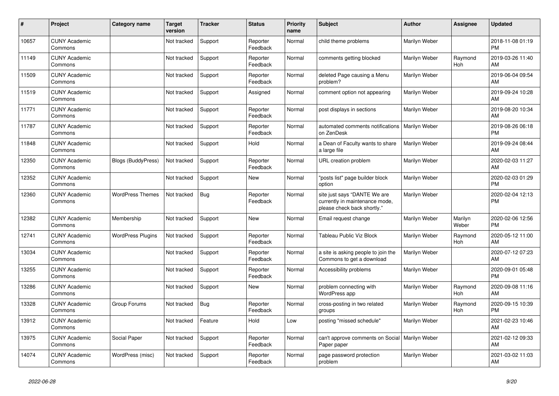| #     | <b>Project</b>                  | Category name             | <b>Target</b><br>version | <b>Tracker</b> | <b>Status</b>        | <b>Priority</b><br>name | <b>Subject</b>                                                                                | <b>Author</b> | Assignee              | <b>Updated</b>                |
|-------|---------------------------------|---------------------------|--------------------------|----------------|----------------------|-------------------------|-----------------------------------------------------------------------------------------------|---------------|-----------------------|-------------------------------|
| 10657 | <b>CUNY Academic</b><br>Commons |                           | Not tracked              | Support        | Reporter<br>Feedback | Normal                  | child theme problems                                                                          | Marilyn Weber |                       | 2018-11-08 01:19<br><b>PM</b> |
| 11149 | <b>CUNY Academic</b><br>Commons |                           | Not tracked              | Support        | Reporter<br>Feedback | Normal                  | comments getting blocked                                                                      | Marilyn Weber | Raymond<br>Hoh        | 2019-03-26 11:40<br>AM        |
| 11509 | <b>CUNY Academic</b><br>Commons |                           | Not tracked              | Support        | Reporter<br>Feedback | Normal                  | deleted Page causing a Menu<br>problem?                                                       | Marilyn Weber |                       | 2019-06-04 09:54<br>AM        |
| 11519 | <b>CUNY Academic</b><br>Commons |                           | Not tracked              | Support        | Assigned             | Normal                  | comment option not appearing                                                                  | Marilyn Weber |                       | 2019-09-24 10:28<br>AM        |
| 11771 | <b>CUNY Academic</b><br>Commons |                           | Not tracked              | Support        | Reporter<br>Feedback | Normal                  | post displays in sections                                                                     | Marilyn Weber |                       | 2019-08-20 10:34<br>AM        |
| 11787 | <b>CUNY Academic</b><br>Commons |                           | Not tracked              | Support        | Reporter<br>Feedback | Normal                  | automated comments notifications   Marilyn Weber<br>on ZenDesk                                |               |                       | 2019-08-26 06:18<br><b>PM</b> |
| 11848 | <b>CUNY Academic</b><br>Commons |                           | Not tracked              | Support        | Hold                 | Normal                  | a Dean of Faculty wants to share<br>a large file                                              | Marilyn Weber |                       | 2019-09-24 08:44<br>AM        |
| 12350 | <b>CUNY Academic</b><br>Commons | <b>Blogs (BuddyPress)</b> | Not tracked              | Support        | Reporter<br>Feedback | Normal                  | URL creation problem                                                                          | Marilyn Weber |                       | 2020-02-03 11:27<br>AM        |
| 12352 | <b>CUNY Academic</b><br>Commons |                           | Not tracked              | Support        | <b>New</b>           | Normal                  | "posts list" page builder block<br>option                                                     | Marilyn Weber |                       | 2020-02-03 01:29<br><b>PM</b> |
| 12360 | <b>CUNY Academic</b><br>Commons | <b>WordPress Themes</b>   | Not tracked              | <b>Bug</b>     | Reporter<br>Feedback | Normal                  | site just says "DANTE We are<br>currently in maintenance mode,<br>please check back shortly." | Marilyn Weber |                       | 2020-02-04 12:13<br><b>PM</b> |
| 12382 | <b>CUNY Academic</b><br>Commons | Membership                | Not tracked              | Support        | New                  | Normal                  | Email request change                                                                          | Marilyn Weber | Marilyn<br>Weber      | 2020-02-06 12:56<br><b>PM</b> |
| 12741 | <b>CUNY Academic</b><br>Commons | <b>WordPress Plugins</b>  | Not tracked              | Support        | Reporter<br>Feedback | Normal                  | Tableau Public Viz Block                                                                      | Marilyn Weber | Raymond<br><b>Hoh</b> | 2020-05-12 11:00<br>AM        |
| 13034 | <b>CUNY Academic</b><br>Commons |                           | Not tracked              | Support        | Reporter<br>Feedback | Normal                  | a site is asking people to join the<br>Commons to get a download                              | Marilyn Weber |                       | 2020-07-12 07:23<br>AM        |
| 13255 | <b>CUNY Academic</b><br>Commons |                           | Not tracked              | Support        | Reporter<br>Feedback | Normal                  | Accessibility problems                                                                        | Marilyn Weber |                       | 2020-09-01 05:48<br><b>PM</b> |
| 13286 | <b>CUNY Academic</b><br>Commons |                           | Not tracked              | Support        | <b>New</b>           | Normal                  | problem connecting with<br>WordPress app                                                      | Marilyn Weber | Raymond<br><b>Hoh</b> | 2020-09-08 11:16<br>AM        |
| 13328 | <b>CUNY Academic</b><br>Commons | Group Forums              | Not tracked              | <b>Bug</b>     | Reporter<br>Feedback | Normal                  | cross-posting in two related<br>groups                                                        | Marilyn Weber | Raymond<br><b>Hoh</b> | 2020-09-15 10:39<br><b>PM</b> |
| 13912 | <b>CUNY Academic</b><br>Commons |                           | Not tracked              | Feature        | Hold                 | Low                     | posting "missed schedule"                                                                     | Marilyn Weber |                       | 2021-02-23 10:46<br>AM        |
| 13975 | <b>CUNY Academic</b><br>Commons | Social Paper              | Not tracked              | Support        | Reporter<br>Feedback | Normal                  | can't approve comments on Social   Marilyn Weber<br>Paper paper                               |               |                       | 2021-02-12 09:33<br>AM        |
| 14074 | <b>CUNY Academic</b><br>Commons | WordPress (misc)          | Not tracked              | Support        | Reporter<br>Feedback | Normal                  | page password protection<br>problem                                                           | Marilyn Weber |                       | 2021-03-02 11:03<br>AM        |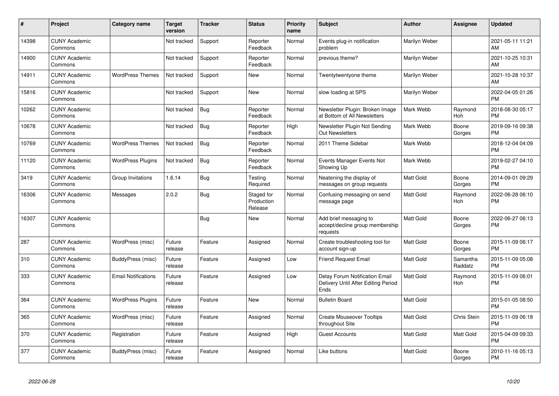| #     | Project                         | <b>Category name</b>       | <b>Target</b><br>version | <b>Tracker</b> | <b>Status</b>                       | <b>Priority</b><br>name | <b>Subject</b>                                                                | <b>Author</b>    | <b>Assignee</b>       | <b>Updated</b>                |
|-------|---------------------------------|----------------------------|--------------------------|----------------|-------------------------------------|-------------------------|-------------------------------------------------------------------------------|------------------|-----------------------|-------------------------------|
| 14398 | <b>CUNY Academic</b><br>Commons |                            | Not tracked              | Support        | Reporter<br>Feedback                | Normal                  | Events plug-in notification<br>problem                                        | Marilyn Weber    |                       | 2021-05-11 11:21<br>AM        |
| 14900 | <b>CUNY Academic</b><br>Commons |                            | Not tracked              | Support        | Reporter<br>Feedback                | Normal                  | previous theme?                                                               | Marilyn Weber    |                       | 2021-10-25 10:31<br>AM        |
| 14911 | <b>CUNY Academic</b><br>Commons | <b>WordPress Themes</b>    | Not tracked              | Support        | New                                 | Normal                  | Twentytwentyone theme                                                         | Marilyn Weber    |                       | 2021-10-28 10:37<br>AM        |
| 15816 | <b>CUNY Academic</b><br>Commons |                            | Not tracked              | Support        | New                                 | Normal                  | slow loading at SPS                                                           | Marilyn Weber    |                       | 2022-04-05 01:26<br><b>PM</b> |
| 10262 | <b>CUNY Academic</b><br>Commons |                            | Not tracked              | Bug            | Reporter<br>Feedback                | Normal                  | Newsletter Plugin: Broken Image<br>at Bottom of All Newsletters               | Mark Webb        | Raymond<br>Hoh        | 2018-08-30 05:17<br><b>PM</b> |
| 10678 | <b>CUNY Academic</b><br>Commons |                            | Not tracked              | <b>Bug</b>     | Reporter<br>Feedback                | High                    | Newsletter Plugin Not Sending<br><b>Out Newsletters</b>                       | Mark Webb        | Boone<br>Gorges       | 2019-09-16 09:38<br><b>PM</b> |
| 10769 | <b>CUNY Academic</b><br>Commons | <b>WordPress Themes</b>    | Not tracked              | <b>Bug</b>     | Reporter<br>Feedback                | Normal                  | 2011 Theme Sidebar                                                            | Mark Webb        |                       | 2018-12-04 04:09<br><b>PM</b> |
| 11120 | <b>CUNY Academic</b><br>Commons | <b>WordPress Plugins</b>   | Not tracked              | <b>Bug</b>     | Reporter<br>Feedback                | Normal                  | Events Manager Events Not<br>Showing Up                                       | Mark Webb        |                       | 2019-02-27 04:10<br><b>PM</b> |
| 3419  | <b>CUNY Academic</b><br>Commons | Group Invitations          | 1.6.14                   | <b>Bug</b>     | Testing<br>Required                 | Normal                  | Neatening the display of<br>messages on group requests                        | <b>Matt Gold</b> | Boone<br>Gorges       | 2014-09-01 09:29<br><b>PM</b> |
| 16306 | <b>CUNY Academic</b><br>Commons | Messages                   | 2.0.2                    | <b>Bug</b>     | Staged for<br>Production<br>Release | Normal                  | Confusing messaging on send<br>message page                                   | Matt Gold        | Raymond<br><b>Hoh</b> | 2022-06-28 06:10<br><b>PM</b> |
| 16307 | <b>CUNY Academic</b><br>Commons |                            |                          | <b>Bug</b>     | <b>New</b>                          | Normal                  | Add brief messaging to<br>accept/decline group membership<br>requests         | <b>Matt Gold</b> | Boone<br>Gorges       | 2022-06-27 06:13<br><b>PM</b> |
| 287   | <b>CUNY Academic</b><br>Commons | WordPress (misc)           | Future<br>release        | Feature        | Assigned                            | Normal                  | Create troubleshooting tool for<br>account sign-up                            | <b>Matt Gold</b> | Boone<br>Gorges       | 2015-11-09 06:17<br><b>PM</b> |
| 310   | <b>CUNY Academic</b><br>Commons | BuddyPress (misc)          | Future<br>release        | Feature        | Assigned                            | Low                     | <b>Friend Request Email</b>                                                   | <b>Matt Gold</b> | Samantha<br>Raddatz   | 2015-11-09 05:08<br><b>PM</b> |
| 333   | <b>CUNY Academic</b><br>Commons | <b>Email Notifications</b> | Future<br>release        | Feature        | Assigned                            | Low                     | Delay Forum Notification Email<br>Delivery Until After Editing Period<br>Ends | <b>Matt Gold</b> | Raymond<br>Hoh        | 2015-11-09 06:01<br><b>PM</b> |
| 364   | <b>CUNY Academic</b><br>Commons | <b>WordPress Plugins</b>   | Future<br>release        | Feature        | <b>New</b>                          | Normal                  | <b>Bulletin Board</b>                                                         | <b>Matt Gold</b> |                       | 2015-01-05 08:50<br><b>PM</b> |
| 365   | <b>CUNY Academic</b><br>Commons | WordPress (misc)           | Future<br>release        | Feature        | Assigned                            | Normal                  | <b>Create Mouseover Tooltips</b><br>throughout Site                           | <b>Matt Gold</b> | Chris Stein           | 2015-11-09 06:18<br><b>PM</b> |
| 370   | <b>CUNY Academic</b><br>Commons | Registration               | Future<br>release        | Feature        | Assigned                            | High                    | <b>Guest Accounts</b>                                                         | <b>Matt Gold</b> | <b>Matt Gold</b>      | 2015-04-09 09:33<br><b>PM</b> |
| 377   | <b>CUNY Academic</b><br>Commons | BuddyPress (misc)          | Future<br>release        | Feature        | Assigned                            | Normal                  | Like buttons                                                                  | <b>Matt Gold</b> | Boone<br>Gorges       | 2010-11-16 05:13<br><b>PM</b> |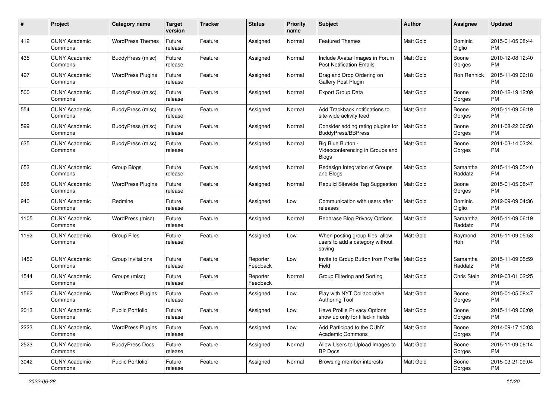| #    | Project                         | <b>Category name</b>     | <b>Target</b><br>version | <b>Tracker</b> | <b>Status</b>        | <b>Priority</b><br>name | Subject                                                                      | Author           | <b>Assignee</b>     | <b>Updated</b>                |
|------|---------------------------------|--------------------------|--------------------------|----------------|----------------------|-------------------------|------------------------------------------------------------------------------|------------------|---------------------|-------------------------------|
| 412  | <b>CUNY Academic</b><br>Commons | <b>WordPress Themes</b>  | Future<br>release        | Feature        | Assigned             | Normal                  | <b>Featured Themes</b>                                                       | <b>Matt Gold</b> | Dominic<br>Giglio   | 2015-01-05 08:44<br><b>PM</b> |
| 435  | <b>CUNY Academic</b><br>Commons | BuddyPress (misc)        | Future<br>release        | Feature        | Assigned             | Normal                  | Include Avatar Images in Forum<br><b>Post Notification Emails</b>            | <b>Matt Gold</b> | Boone<br>Gorges     | 2010-12-08 12:40<br><b>PM</b> |
| 497  | CUNY Academic<br>Commons        | <b>WordPress Plugins</b> | Future<br>release        | Feature        | Assigned             | Normal                  | Drag and Drop Ordering on<br>Gallery Post Plugin                             | <b>Matt Gold</b> | Ron Rennick         | 2015-11-09 06:18<br><b>PM</b> |
| 500  | <b>CUNY Academic</b><br>Commons | BuddyPress (misc)        | Future<br>release        | Feature        | Assigned             | Normal                  | <b>Export Group Data</b>                                                     | <b>Matt Gold</b> | Boone<br>Gorges     | 2010-12-19 12:09<br><b>PM</b> |
| 554  | CUNY Academic<br>Commons        | BuddyPress (misc)        | Future<br>release        | Feature        | Assigned             | Normal                  | Add Trackback notifications to<br>site-wide activity feed                    | <b>Matt Gold</b> | Boone<br>Gorges     | 2015-11-09 06:19<br><b>PM</b> |
| 599  | <b>CUNY Academic</b><br>Commons | <b>BuddyPress</b> (misc) | Future<br>release        | Feature        | Assigned             | Normal                  | Consider adding rating plugins for<br><b>BuddyPress/BBPress</b>              | <b>Matt Gold</b> | Boone<br>Gorges     | 2011-08-22 06:50<br><b>PM</b> |
| 635  | <b>CUNY Academic</b><br>Commons | BuddyPress (misc)        | Future<br>release        | Feature        | Assigned             | Normal                  | Big Blue Button -<br>Videoconferencing in Groups and<br><b>Blogs</b>         | <b>Matt Gold</b> | Boone<br>Gorges     | 2011-03-14 03:24<br><b>PM</b> |
| 653  | <b>CUNY Academic</b><br>Commons | Group Blogs              | Future<br>release        | Feature        | Assigned             | Normal                  | Redesign Integration of Groups<br>and Blogs                                  | <b>Matt Gold</b> | Samantha<br>Raddatz | 2015-11-09 05:40<br><b>PM</b> |
| 658  | <b>CUNY Academic</b><br>Commons | <b>WordPress Plugins</b> | Future<br>release        | Feature        | Assigned             | Normal                  | Rebulid Sitewide Tag Suggestion                                              | <b>Matt Gold</b> | Boone<br>Gorges     | 2015-01-05 08:47<br><b>PM</b> |
| 940  | CUNY Academic<br>Commons        | Redmine                  | Future<br>release        | Feature        | Assigned             | Low                     | Communication with users after<br>releases                                   | <b>Matt Gold</b> | Dominic<br>Giglio   | 2012-09-09 04:36<br><b>PM</b> |
| 1105 | CUNY Academic<br>Commons        | WordPress (misc)         | Future<br>release        | Feature        | Assigned             | Normal                  | Rephrase Blog Privacy Options                                                | Matt Gold        | Samantha<br>Raddatz | 2015-11-09 06:19<br><b>PM</b> |
| 1192 | <b>CUNY Academic</b><br>Commons | <b>Group Files</b>       | Future<br>release        | Feature        | Assigned             | Low                     | When posting group files, allow<br>users to add a category without<br>saving | Matt Gold        | Raymond<br>Hoh      | 2015-11-09 05:53<br><b>PM</b> |
| 1456 | <b>CUNY Academic</b><br>Commons | Group Invitations        | Future<br>release        | Feature        | Reporter<br>Feedback | Low                     | Invite to Group Button from Profile   Matt Gold<br>Field                     |                  | Samantha<br>Raddatz | 2015-11-09 05:59<br><b>PM</b> |
| 1544 | <b>CUNY Academic</b><br>Commons | Groups (misc)            | Future<br>release        | Feature        | Reporter<br>Feedback | Normal                  | Group Filtering and Sorting                                                  | <b>Matt Gold</b> | Chris Stein         | 2019-03-01 02:25<br><b>PM</b> |
| 1562 | <b>CUNY Academic</b><br>Commons | <b>WordPress Plugins</b> | Future<br>release        | Feature        | Assigned             | Low                     | Play with NYT Collaborative<br><b>Authoring Tool</b>                         | Matt Gold        | Boone<br>Gorges     | 2015-01-05 08:47<br><b>PM</b> |
| 2013 | CUNY Academic<br>Commons        | <b>Public Portfolio</b>  | Future<br>release        | Feature        | Assigned             | Low                     | Have Profile Privacy Options<br>show up only for filled-in fields            | <b>Matt Gold</b> | Boone<br>Gorges     | 2015-11-09 06:09<br>PM        |
| 2223 | <b>CUNY Academic</b><br>Commons | <b>WordPress Plugins</b> | Future<br>release        | Feature        | Assigned             | Low                     | Add Participad to the CUNY<br>Academic Commons                               | Matt Gold        | Boone<br>Gorges     | 2014-09-17 10:03<br><b>PM</b> |
| 2523 | <b>CUNY Academic</b><br>Commons | <b>BuddyPress Docs</b>   | Future<br>release        | Feature        | Assigned             | Normal                  | Allow Users to Upload Images to<br><b>BP</b> Docs                            | Matt Gold        | Boone<br>Gorges     | 2015-11-09 06:14<br><b>PM</b> |
| 3042 | <b>CUNY Academic</b><br>Commons | Public Portfolio         | Future<br>release        | Feature        | Assigned             | Normal                  | Browsing member interests                                                    | Matt Gold        | Boone<br>Gorges     | 2015-03-21 09:04<br>PM        |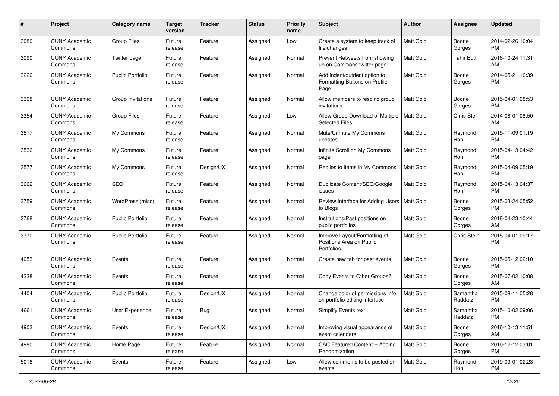| #    | Project                         | <b>Category name</b>    | <b>Target</b><br>version | <b>Tracker</b> | <b>Status</b> | <b>Priority</b><br>name | Subject                                                                | Author           | <b>Assignee</b>     | <b>Updated</b>                |
|------|---------------------------------|-------------------------|--------------------------|----------------|---------------|-------------------------|------------------------------------------------------------------------|------------------|---------------------|-------------------------------|
| 3080 | <b>CUNY Academic</b><br>Commons | Group Files             | Future<br>release        | Feature        | Assigned      | Low                     | Create a system to keep track of<br>file changes                       | <b>Matt Gold</b> | Boone<br>Gorges     | 2014-02-26 10:04<br><b>PM</b> |
| 3090 | <b>CUNY Academic</b><br>Commons | Twitter page            | Future<br>release        | Feature        | Assigned      | Normal                  | Prevent Retweets from showing<br>up on Commons twitter page            | <b>Matt Gold</b> | Tahir Butt          | 2016-10-24 11:31<br>AM        |
| 3220 | CUNY Academic<br>Commons        | <b>Public Portfolio</b> | Future<br>release        | Feature        | Assigned      | Normal                  | Add indent/outdent option to<br>Formatting Buttons on Profile<br>Page  | <b>Matt Gold</b> | Boone<br>Gorges     | 2014-05-21 10:39<br><b>PM</b> |
| 3308 | CUNY Academic<br>Commons        | Group Invitations       | Future<br>release        | Feature        | Assigned      | Normal                  | Allow members to rescind group<br>invitations                          | Matt Gold        | Boone<br>Gorges     | 2015-04-01 08:53<br><b>PM</b> |
| 3354 | <b>CUNY Academic</b><br>Commons | <b>Group Files</b>      | Future<br>release        | Feature        | Assigned      | Low                     | Allow Group Download of Multiple<br><b>Selected Files</b>              | <b>Matt Gold</b> | Chris Stein         | 2014-08-01 08:50<br>AM        |
| 3517 | <b>CUNY Academic</b><br>Commons | My Commons              | Future<br>release        | Feature        | Assigned      | Normal                  | Mute/Unmute My Commons<br>updates                                      | <b>Matt Gold</b> | Raymond<br>Hoh      | 2015-11-09 01:19<br><b>PM</b> |
| 3536 | <b>CUNY Academic</b><br>Commons | My Commons              | Future<br>release        | Feature        | Assigned      | Normal                  | Infinite Scroll on My Commons<br>page                                  | <b>Matt Gold</b> | Raymond<br>Hoh      | 2015-04-13 04:42<br><b>PM</b> |
| 3577 | <b>CUNY Academic</b><br>Commons | My Commons              | Future<br>release        | Design/UX      | Assigned      | Normal                  | Replies to items in My Commons                                         | Matt Gold        | Raymond<br>Hoh      | 2015-04-09 05:19<br><b>PM</b> |
| 3662 | <b>CUNY Academic</b><br>Commons | <b>SEO</b>              | Future<br>release        | Feature        | Assigned      | Normal                  | Duplicate Content/SEO/Google<br>issues                                 | <b>Matt Gold</b> | Raymond<br>Hoh      | 2015-04-13 04:37<br><b>PM</b> |
| 3759 | <b>CUNY Academic</b><br>Commons | WordPress (misc)        | Future<br>release        | Feature        | Assigned      | Normal                  | Review Interface for Adding Users   Matt Gold<br>to Blogs              |                  | Boone<br>Gorges     | 2015-03-24 05:52<br><b>PM</b> |
| 3768 | CUNY Academic<br>Commons        | Public Portfolio        | Future<br>release        | Feature        | Assigned      | Normal                  | Institutions/Past positions on<br>public portfolios                    | Matt Gold        | Boone<br>Gorges     | 2018-04-23 10:44<br>AM        |
| 3770 | <b>CUNY Academic</b><br>Commons | Public Portfolio        | Future<br>release        | Feature        | Assigned      | Normal                  | Improve Layout/Formatting of<br>Positions Area on Public<br>Portfolios | <b>Matt Gold</b> | Chris Stein         | 2015-04-01 09:17<br><b>PM</b> |
| 4053 | <b>CUNY Academic</b><br>Commons | Events                  | Future<br>release        | Feature        | Assigned      | Normal                  | Create new tab for past events                                         | <b>Matt Gold</b> | Boone<br>Gorges     | 2015-05-12 02:10<br><b>PM</b> |
| 4238 | <b>CUNY Academic</b><br>Commons | Events                  | Future<br>release        | Feature        | Assigned      | Normal                  | Copy Events to Other Groups?                                           | <b>Matt Gold</b> | Boone<br>Gorges     | 2015-07-02 10:08<br>AM        |
| 4404 | <b>CUNY Academic</b><br>Commons | Public Portfolio        | Future<br>release        | Design/UX      | Assigned      | Normal                  | Change color of permissions info<br>on portfolio editing interface     | Matt Gold        | Samantha<br>Raddatz | 2015-08-11 05:28<br><b>PM</b> |
| 4661 | CUNY Academic<br>Commons        | <b>User Experience</b>  | Future<br>release        | Bug            | Assigned      | Normal                  | Simplify Events text                                                   | Matt Gold        | Samantha<br>Raddatz | 2015-10-02 09:06<br>PM        |
| 4903 | <b>CUNY Academic</b><br>Commons | Events                  | Future<br>release        | Design/UX      | Assigned      | Normal                  | Improving visual appearance of<br>event calendars                      | Matt Gold        | Boone<br>Gorges     | 2016-10-13 11:51<br>AM        |
| 4980 | <b>CUNY Academic</b><br>Commons | Home Page               | Future<br>release        | Feature        | Assigned      | Normal                  | CAC Featured Content -- Adding<br>Randomization                        | Matt Gold        | Boone<br>Gorges     | 2016-12-12 03:01<br><b>PM</b> |
| 5016 | <b>CUNY Academic</b><br>Commons | Events                  | Future<br>release        | Feature        | Assigned      | Low                     | Allow comments to be posted on<br>events                               | Matt Gold        | Raymond<br>Hoh      | 2019-03-01 02:23<br>PM        |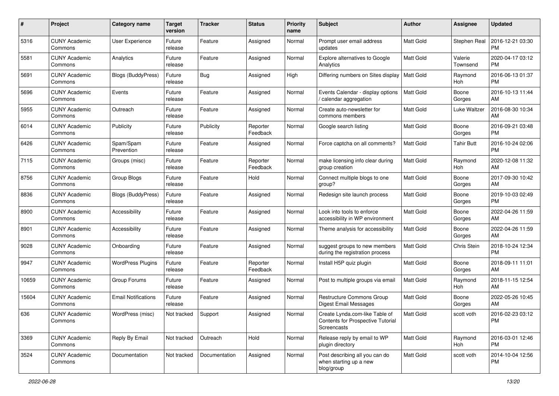| #     | Project                         | <b>Category name</b>       | <b>Target</b><br>version | <b>Tracker</b> | <b>Status</b>        | <b>Priority</b><br>name | <b>Subject</b>                                                                            | Author           | <b>Assignee</b>     | <b>Updated</b>                |
|-------|---------------------------------|----------------------------|--------------------------|----------------|----------------------|-------------------------|-------------------------------------------------------------------------------------------|------------------|---------------------|-------------------------------|
| 5316  | <b>CUNY Academic</b><br>Commons | <b>User Experience</b>     | Future<br>release        | Feature        | Assigned             | Normal                  | Prompt user email address<br>updates                                                      | <b>Matt Gold</b> | Stephen Real        | 2016-12-21 03:30<br>PM        |
| 5581  | <b>CUNY Academic</b><br>Commons | Analytics                  | Future<br>release        | Feature        | Assigned             | Normal                  | <b>Explore alternatives to Google</b><br>Analytics                                        | <b>Matt Gold</b> | Valerie<br>Townsend | 2020-04-17 03:12<br>PM        |
| 5691  | <b>CUNY Academic</b><br>Commons | <b>Blogs (BuddyPress)</b>  | Future<br>release        | Bug            | Assigned             | High                    | Differing numbers on Sites display                                                        | <b>Matt Gold</b> | Raymond<br>Hoh      | 2016-06-13 01:37<br><b>PM</b> |
| 5696  | <b>CUNY Academic</b><br>Commons | Events                     | Future<br>release        | Feature        | Assigned             | Normal                  | Events Calendar - display options<br>calendar aggregation                                 | Matt Gold        | Boone<br>Gorges     | 2016-10-13 11:44<br>AM        |
| 5955  | <b>CUNY Academic</b><br>Commons | Outreach                   | Future<br>release        | Feature        | Assigned             | Normal                  | Create auto-newsletter for<br>commons members                                             | <b>Matt Gold</b> | Luke Waltzer        | 2016-08-30 10:34<br>AM        |
| 6014  | <b>CUNY Academic</b><br>Commons | Publicity                  | Future<br>release        | Publicity      | Reporter<br>Feedback | Normal                  | Google search listing                                                                     | <b>Matt Gold</b> | Boone<br>Gorges     | 2016-09-21 03:48<br><b>PM</b> |
| 6426  | <b>CUNY Academic</b><br>Commons | Spam/Spam<br>Prevention    | Future<br>release        | Feature        | Assigned             | Normal                  | Force captcha on all comments?                                                            | Matt Gold        | Tahir Butt          | 2016-10-24 02:06<br><b>PM</b> |
| 7115  | <b>CUNY Academic</b><br>Commons | Groups (misc)              | Future<br>release        | Feature        | Reporter<br>Feedback | Normal                  | make licensing info clear during<br>group creation                                        | <b>Matt Gold</b> | Raymond<br>Hoh      | 2020-12-08 11:32<br>AM        |
| 8756  | <b>CUNY Academic</b><br>Commons | Group Blogs                | Future<br>release        | Feature        | Hold                 | Normal                  | Connect multiple blogs to one<br>group?                                                   | Matt Gold        | Boone<br>Gorges     | 2017-09-30 10:42<br>AM        |
| 8836  | <b>CUNY Academic</b><br>Commons | Blogs (BuddyPress)         | Future<br>release        | Feature        | Assigned             | Normal                  | Redesign site launch process                                                              | Matt Gold        | Boone<br>Gorges     | 2019-10-03 02:49<br><b>PM</b> |
| 8900  | <b>CUNY Academic</b><br>Commons | Accessibility              | Future<br>release        | Feature        | Assigned             | Normal                  | Look into tools to enforce<br>accessibility in WP environment                             | Matt Gold        | Boone<br>Gorges     | 2022-04-26 11:59<br>AM        |
| 8901  | <b>CUNY Academic</b><br>Commons | Accessibility              | Future<br>release        | Feature        | Assigned             | Normal                  | Theme analysis for accessibility                                                          | <b>Matt Gold</b> | Boone<br>Gorges     | 2022-04-26 11:59<br>AM        |
| 9028  | <b>CUNY Academic</b><br>Commons | Onboarding                 | Future<br>release        | Feature        | Assigned             | Normal                  | suggest groups to new members<br>during the registration process                          | <b>Matt Gold</b> | Chris Stein         | 2018-10-24 12:34<br><b>PM</b> |
| 9947  | <b>CUNY Academic</b><br>Commons | <b>WordPress Plugins</b>   | Future<br>release        | Feature        | Reporter<br>Feedback | Normal                  | Install H5P quiz plugin                                                                   | <b>Matt Gold</b> | Boone<br>Gorges     | 2018-09-11 11:01<br>AM        |
| 10659 | <b>CUNY Academic</b><br>Commons | Group Forums               | Future<br>release        | Feature        | Assigned             | Normal                  | Post to multiple groups via email                                                         | <b>Matt Gold</b> | Raymond<br>Hoh      | 2018-11-15 12:54<br>AM        |
| 15604 | <b>CUNY Academic</b><br>Commons | <b>Email Notifications</b> | Future<br>release        | Feature        | Assigned             | Normal                  | Restructure Commons Group<br><b>Digest Email Messages</b>                                 | <b>Matt Gold</b> | Boone<br>Gorges     | 2022-05-26 10:45<br>AM        |
| 636   | <b>CUNY Academic</b><br>Commons | WordPress (misc)           | Not tracked              | Support        | Assigned             | Normal                  | Create Lynda.com-like Table of<br>Contents for Prospective Tutorial<br><b>Screencasts</b> | <b>Matt Gold</b> | scott voth          | 2016-02-23 03:12<br>PM        |
| 3369  | <b>CUNY Academic</b><br>Commons | Reply By Email             | Not tracked              | Outreach       | Hold                 | Normal                  | Release reply by email to WP<br>plugin directory                                          | Matt Gold        | Raymond<br>Hoh      | 2016-03-01 12:46<br>PM        |
| 3524  | <b>CUNY Academic</b><br>Commons | Documentation              | Not tracked              | Documentation  | Assigned             | Normal                  | Post describing all you can do<br>when starting up a new<br>blog/group                    | Matt Gold        | scott voth          | 2014-10-04 12:56<br>PM        |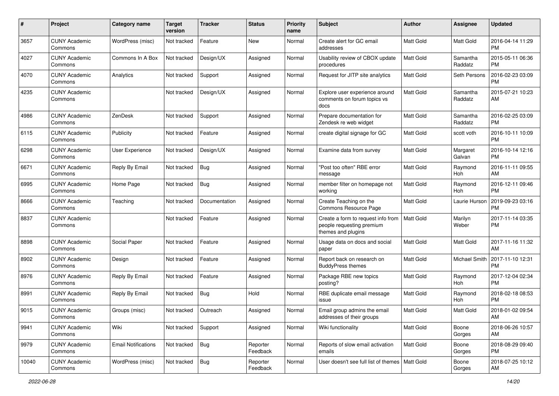| #     | Project                         | <b>Category name</b>       | <b>Target</b><br>version | <b>Tracker</b> | <b>Status</b>        | <b>Priority</b><br>name | <b>Subject</b>                                                                        | Author           | <b>Assignee</b>     | <b>Updated</b>                |
|-------|---------------------------------|----------------------------|--------------------------|----------------|----------------------|-------------------------|---------------------------------------------------------------------------------------|------------------|---------------------|-------------------------------|
| 3657  | <b>CUNY Academic</b><br>Commons | WordPress (misc)           | Not tracked              | Feature        | New                  | Normal                  | Create alert for GC email<br>addresses                                                | Matt Gold        | Matt Gold           | 2016-04-14 11:29<br><b>PM</b> |
| 4027  | <b>CUNY Academic</b><br>Commons | Commons In A Box           | Not tracked              | Design/UX      | Assigned             | Normal                  | Usability review of CBOX update<br>procedures                                         | Matt Gold        | Samantha<br>Raddatz | 2015-05-11 06:36<br><b>PM</b> |
| 4070  | <b>CUNY Academic</b><br>Commons | Analytics                  | Not tracked              | Support        | Assigned             | Normal                  | Request for JITP site analytics                                                       | Matt Gold        | <b>Seth Persons</b> | 2016-02-23 03:09<br><b>PM</b> |
| 4235  | <b>CUNY Academic</b><br>Commons |                            | Not tracked              | Design/UX      | Assigned             | Normal                  | Explore user experience around<br>comments on forum topics vs<br>docs                 | <b>Matt Gold</b> | Samantha<br>Raddatz | 2015-07-21 10:23<br>AM        |
| 4986  | <b>CUNY Academic</b><br>Commons | ZenDesk                    | Not tracked              | Support        | Assigned             | Normal                  | Prepare documentation for<br>Zendesk re web widget                                    | Matt Gold        | Samantha<br>Raddatz | 2016-02-25 03:09<br><b>PM</b> |
| 6115  | <b>CUNY Academic</b><br>Commons | Publicity                  | Not tracked              | Feature        | Assigned             | Normal                  | create digital signage for GC                                                         | Matt Gold        | scott voth          | 2016-10-11 10:09<br><b>PM</b> |
| 6298  | <b>CUNY Academic</b><br>Commons | User Experience            | Not tracked              | Design/UX      | Assigned             | Normal                  | Examine data from survey                                                              | <b>Matt Gold</b> | Margaret<br>Galvan  | 2016-10-14 12:16<br><b>PM</b> |
| 6671  | <b>CUNY Academic</b><br>Commons | Reply By Email             | Not tracked              | Bug            | Assigned             | Normal                  | 'Post too often" RBE error<br>message                                                 | Matt Gold        | Raymond<br>Hoh      | 2016-11-11 09:55<br>AM        |
| 6995  | <b>CUNY Academic</b><br>Commons | Home Page                  | Not tracked              | <b>Bug</b>     | Assigned             | Normal                  | member filter on homepage not<br>working                                              | <b>Matt Gold</b> | Raymond<br>Hoh      | 2016-12-11 09:46<br><b>PM</b> |
| 8666  | <b>CUNY Academic</b><br>Commons | Teaching                   | Not tracked              | Documentation  | Assigned             | Normal                  | Create Teaching on the<br>Commons Resource Page                                       | <b>Matt Gold</b> | Laurie Hurson       | 2019-09-23 03:16<br><b>PM</b> |
| 8837  | <b>CUNY Academic</b><br>Commons |                            | Not tracked              | Feature        | Assigned             | Normal                  | Create a form to request info from<br>people requesting premium<br>themes and plugins | Matt Gold        | Marilyn<br>Weber    | 2017-11-14 03:35<br><b>PM</b> |
| 8898  | <b>CUNY Academic</b><br>Commons | Social Paper               | Not tracked              | Feature        | Assigned             | Normal                  | Usage data on docs and social<br>paper                                                | <b>Matt Gold</b> | <b>Matt Gold</b>    | 2017-11-16 11:32<br>AM        |
| 8902  | <b>CUNY Academic</b><br>Commons | Design                     | Not tracked              | Feature        | Assigned             | Normal                  | Report back on research on<br><b>BuddyPress themes</b>                                | Matt Gold        | Michael Smith       | 2017-11-10 12:31<br><b>PM</b> |
| 8976  | <b>CUNY Academic</b><br>Commons | Reply By Email             | Not tracked              | Feature        | Assigned             | Normal                  | Package RBE new topics<br>posting?                                                    | <b>Matt Gold</b> | Raymond<br>Hoh      | 2017-12-04 02:34<br><b>PM</b> |
| 8991  | <b>CUNY Academic</b><br>Commons | Reply By Email             | Not tracked              | Bug            | Hold                 | Normal                  | RBE duplicate email message<br>issue                                                  | Matt Gold        | Raymond<br>Hoh      | 2018-02-18 08:53<br><b>PM</b> |
| 9015  | <b>CUNY Academic</b><br>Commons | Groups (misc)              | Not tracked              | Outreach       | Assigned             | Normal                  | Email group admins the email<br>addresses of their groups                             | Matt Gold        | Matt Gold           | 2018-01-02 09:54<br>AM        |
| 9941  | <b>CUNY Academic</b><br>Commons | Wiki                       | Not tracked              | Support        | Assigned             | Normal                  | Wiki functionality                                                                    | <b>Matt Gold</b> | Boone<br>Gorges     | 2018-06-26 10:57<br>AM        |
| 9979  | <b>CUNY Academic</b><br>Commons | <b>Email Notifications</b> | Not tracked              | Bug            | Reporter<br>Feedback | Normal                  | Reports of slow email activation<br>emails                                            | Matt Gold        | Boone<br>Gorges     | 2018-08-29 09:40<br><b>PM</b> |
| 10040 | <b>CUNY Academic</b><br>Commons | WordPress (misc)           | Not tracked              | <b>Bug</b>     | Reporter<br>Feedback | Normal                  | User doesn't see full list of themes   Matt Gold                                      |                  | Boone<br>Gorges     | 2018-07-25 10:12<br>AM        |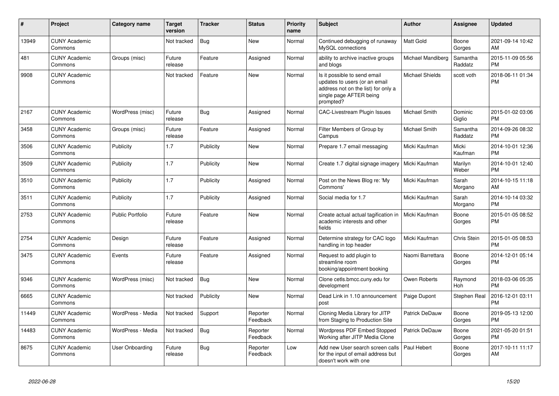| #     | Project                         | <b>Category name</b>    | <b>Target</b><br>version | <b>Tracker</b> | <b>Status</b>        | <b>Priority</b><br>name | <b>Subject</b>                                                                                                                               | <b>Author</b>          | <b>Assignee</b>     | <b>Updated</b>                |
|-------|---------------------------------|-------------------------|--------------------------|----------------|----------------------|-------------------------|----------------------------------------------------------------------------------------------------------------------------------------------|------------------------|---------------------|-------------------------------|
| 13949 | <b>CUNY Academic</b><br>Commons |                         | Not tracked              | Bug            | <b>New</b>           | Normal                  | Continued debugging of runaway<br>MySQL connections                                                                                          | <b>Matt Gold</b>       | Boone<br>Gorges     | 2021-09-14 10:42<br>AM        |
| 481   | <b>CUNY Academic</b><br>Commons | Groups (misc)           | Future<br>release        | Feature        | Assigned             | Normal                  | ability to archive inactive groups<br>and blogs                                                                                              | Michael Mandiberg      | Samantha<br>Raddatz | 2015-11-09 05:56<br><b>PM</b> |
| 9908  | <b>CUNY Academic</b><br>Commons |                         | Not tracked              | Feature        | <b>New</b>           | Normal                  | Is it possible to send email<br>updates to users (or an email<br>address not on the list) for only a<br>single page AFTER being<br>prompted? | <b>Michael Shields</b> | scott voth          | 2018-06-11 01:34<br><b>PM</b> |
| 2167  | <b>CUNY Academic</b><br>Commons | WordPress (misc)        | Future<br>release        | <b>Bug</b>     | Assigned             | Normal                  | <b>CAC-Livestream Plugin Issues</b>                                                                                                          | Michael Smith          | Dominic<br>Giglio   | 2015-01-02 03:06<br><b>PM</b> |
| 3458  | <b>CUNY Academic</b><br>Commons | Groups (misc)           | Future<br>release        | Feature        | Assigned             | Normal                  | Filter Members of Group by<br>Campus                                                                                                         | Michael Smith          | Samantha<br>Raddatz | 2014-09-26 08:32<br><b>PM</b> |
| 3506  | <b>CUNY Academic</b><br>Commons | Publicity               | 1.7                      | Publicity      | <b>New</b>           | Normal                  | Prepare 1.7 email messaging                                                                                                                  | Micki Kaufman          | Micki<br>Kaufman    | 2014-10-01 12:36<br><b>PM</b> |
| 3509  | <b>CUNY Academic</b><br>Commons | Publicity               | 1.7                      | Publicity      | <b>New</b>           | Normal                  | Create 1.7 digital signage imagery                                                                                                           | Micki Kaufman          | Marilyn<br>Weber    | 2014-10-01 12:40<br><b>PM</b> |
| 3510  | <b>CUNY Academic</b><br>Commons | Publicity               | 1.7                      | Publicity      | Assigned             | Normal                  | Post on the News Blog re: 'My<br>Commons'                                                                                                    | Micki Kaufman          | Sarah<br>Morgano    | 2014-10-15 11:18<br>AM        |
| 3511  | <b>CUNY Academic</b><br>Commons | Publicity               | 1.7                      | Publicity      | Assigned             | Normal                  | Social media for 1.7                                                                                                                         | Micki Kaufman          | Sarah<br>Morgano    | 2014-10-14 03:32<br><b>PM</b> |
| 2753  | <b>CUNY Academic</b><br>Commons | <b>Public Portfolio</b> | Future<br>release        | Feature        | <b>New</b>           | Normal                  | Create actual actual tagification in<br>academic interests and other<br>fields                                                               | Micki Kaufman          | Boone<br>Gorges     | 2015-01-05 08:52<br><b>PM</b> |
| 2754  | <b>CUNY Academic</b><br>Commons | Design                  | Future<br>release        | Feature        | Assigned             | Normal                  | Determine strategy for CAC logo<br>handling in top header                                                                                    | Micki Kaufman          | Chris Stein         | 2015-01-05 08:53<br><b>PM</b> |
| 3475  | <b>CUNY Academic</b><br>Commons | Events                  | Future<br>release        | Feature        | Assigned             | Normal                  | Request to add plugin to<br>streamline room<br>booking/appointment booking                                                                   | Naomi Barrettara       | Boone<br>Gorges     | 2014-12-01 05:14<br><b>PM</b> |
| 9346  | <b>CUNY Academic</b><br>Commons | WordPress (misc)        | Not tracked              | <b>Bug</b>     | <b>New</b>           | Normal                  | Clone cetls.bmcc.cuny.edu for<br>development                                                                                                 | Owen Roberts           | Raymond<br>Hoh      | 2018-03-06 05:35<br><b>PM</b> |
| 6665  | <b>CUNY Academic</b><br>Commons |                         | Not tracked              | Publicity      | New                  | Normal                  | Dead Link in 1.10 announcement<br>post                                                                                                       | Paige Dupont           | <b>Stephen Real</b> | 2016-12-01 03:11<br><b>PM</b> |
| 11449 | <b>CUNY Academic</b><br>Commons | WordPress - Media       | Not tracked              | Support        | Reporter<br>Feedback | Normal                  | Cloning Media Library for JITP<br>from Staging to Production Site                                                                            | <b>Patrick DeDauw</b>  | Boone<br>Gorges     | 2019-05-13 12:00<br><b>PM</b> |
| 14483 | <b>CUNY Academic</b><br>Commons | WordPress - Media       | Not tracked              | <b>Bug</b>     | Reporter<br>Feedback | Normal                  | Wordpress PDF Embed Stopped<br>Working after JITP Media Clone                                                                                | <b>Patrick DeDauw</b>  | Boone<br>Gorges     | 2021-05-20 01:51<br><b>PM</b> |
| 8675  | <b>CUNY Academic</b><br>Commons | User Onboarding         | Future<br>release        | Bug            | Reporter<br>Feedback | Low                     | Add new User search screen calls<br>for the input of email address but<br>doesn't work with one                                              | Paul Hebert            | Boone<br>Gorges     | 2017-10-11 11:17<br>AM        |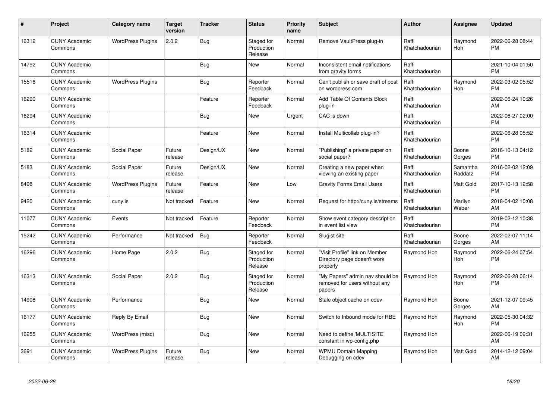| #     | Project                         | <b>Category name</b>     | <b>Target</b><br>version | <b>Tracker</b> | <b>Status</b>                       | <b>Priority</b><br>name | <b>Subject</b>                                                             | <b>Author</b>           | <b>Assignee</b>     | <b>Updated</b>                |
|-------|---------------------------------|--------------------------|--------------------------|----------------|-------------------------------------|-------------------------|----------------------------------------------------------------------------|-------------------------|---------------------|-------------------------------|
| 16312 | <b>CUNY Academic</b><br>Commons | <b>WordPress Plugins</b> | 2.0.2                    | <b>Bug</b>     | Staged for<br>Production<br>Release | Normal                  | Remove VaultPress plug-in                                                  | Raffi<br>Khatchadourian | Raymond<br>Hoh      | 2022-06-28 08:44<br><b>PM</b> |
| 14792 | <b>CUNY Academic</b><br>Commons |                          |                          | <b>Bug</b>     | <b>New</b>                          | Normal                  | Inconsistent email notifications<br>from gravity forms                     | Raffi<br>Khatchadourian |                     | 2021-10-04 01:50<br><b>PM</b> |
| 15516 | <b>CUNY Academic</b><br>Commons | <b>WordPress Plugins</b> |                          | Bug            | Reporter<br>Feedback                | Normal                  | Can't publish or save draft of post<br>on wordpress.com                    | Raffi<br>Khatchadourian | Raymond<br>Hoh      | 2022-03-02 05:52<br><b>PM</b> |
| 16290 | <b>CUNY Academic</b><br>Commons |                          |                          | Feature        | Reporter<br>Feedback                | Normal                  | Add Table Of Contents Block<br>plug-in                                     | Raffi<br>Khatchadourian |                     | 2022-06-24 10:26<br>AM        |
| 16294 | <b>CUNY Academic</b><br>Commons |                          |                          | <b>Bug</b>     | <b>New</b>                          | Urgent                  | CAC is down                                                                | Raffi<br>Khatchadourian |                     | 2022-06-27 02:00<br><b>PM</b> |
| 16314 | <b>CUNY Academic</b><br>Commons |                          |                          | Feature        | <b>New</b>                          | Normal                  | Install Multicollab plug-in?                                               | Raffi<br>Khatchadourian |                     | 2022-06-28 05:52<br><b>PM</b> |
| 5182  | <b>CUNY Academic</b><br>Commons | Social Paper             | Future<br>release        | Design/UX      | <b>New</b>                          | Normal                  | "Publishing" a private paper on<br>social paper?                           | Raffi<br>Khatchadourian | Boone<br>Gorges     | 2016-10-13 04:12<br><b>PM</b> |
| 5183  | <b>CUNY Academic</b><br>Commons | Social Paper             | Future<br>release        | Design/UX      | <b>New</b>                          | Normal                  | Creating a new paper when<br>viewing an existing paper                     | Raffi<br>Khatchadourian | Samantha<br>Raddatz | 2016-02-02 12:09<br><b>PM</b> |
| 8498  | <b>CUNY Academic</b><br>Commons | <b>WordPress Plugins</b> | Future<br>release        | Feature        | <b>New</b>                          | Low                     | <b>Gravity Forms Email Users</b>                                           | Raffi<br>Khatchadourian | <b>Matt Gold</b>    | 2017-10-13 12:58<br><b>PM</b> |
| 9420  | <b>CUNY Academic</b><br>Commons | cuny.is                  | Not tracked              | Feature        | <b>New</b>                          | Normal                  | Request for http://cuny.is/streams                                         | Raffi<br>Khatchadourian | Marilyn<br>Weber    | 2018-04-02 10:08<br>AM        |
| 11077 | <b>CUNY Academic</b><br>Commons | Events                   | Not tracked              | Feature        | Reporter<br>Feedback                | Normal                  | Show event category description<br>in event list view                      | Raffi<br>Khatchadourian |                     | 2019-02-12 10:38<br><b>PM</b> |
| 15242 | <b>CUNY Academic</b><br>Commons | Performance              | Not tracked              | Bug            | Reporter<br>Feedback                | Normal                  | Slugist site                                                               | Raffi<br>Khatchadourian | Boone<br>Gorges     | 2022-02-07 11:14<br>AM        |
| 16296 | <b>CUNY Academic</b><br>Commons | Home Page                | 2.0.2                    | <b>Bug</b>     | Staged for<br>Production<br>Release | Normal                  | "Visit Profile" link on Member<br>Directory page doesn't work<br>properly  | Raymond Hoh             | Raymond<br>Hoh      | 2022-06-24 07:54<br><b>PM</b> |
| 16313 | <b>CUNY Academic</b><br>Commons | Social Paper             | 2.0.2                    | <b>Bug</b>     | Staged for<br>Production<br>Release | Normal                  | "My Papers" admin nav should be<br>removed for users without any<br>papers | Raymond Hoh             | Raymond<br>Hoh      | 2022-06-28 06:14<br><b>PM</b> |
| 14908 | <b>CUNY Academic</b><br>Commons | Performance              |                          | Bug            | New                                 | Normal                  | Stale object cache on cdev                                                 | Raymond Hoh             | Boone<br>Gorges     | 2021-12-07 09:45<br>AM        |
| 16177 | <b>CUNY Academic</b><br>Commons | Reply By Email           |                          | Bug            | <b>New</b>                          | Normal                  | Switch to Inbound mode for RBE                                             | Raymond Hoh             | Raymond<br>Hoh      | 2022-05-30 04:32<br><b>PM</b> |
| 16255 | <b>CUNY Academic</b><br>Commons | WordPress (misc)         |                          | Bug            | <b>New</b>                          | Normal                  | Need to define 'MULTISITE'<br>constant in wp-config.php                    | Raymond Hoh             |                     | 2022-06-19 09:31<br>AM        |
| 3691  | <b>CUNY Academic</b><br>Commons | <b>WordPress Plugins</b> | Future<br>release        | <b>Bug</b>     | <b>New</b>                          | Normal                  | <b>WPMU Domain Mapping</b><br>Debugging on cdev                            | Raymond Hoh             | <b>Matt Gold</b>    | 2014-12-12 09:04<br>AM        |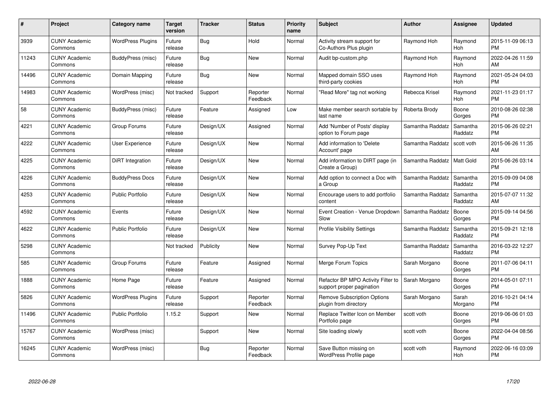| #     | Project                         | Category name            | <b>Target</b><br>version | <b>Tracker</b> | <b>Status</b>        | <b>Priority</b><br>name | <b>Subject</b>                                                  | <b>Author</b>    | Assignee              | <b>Updated</b>                |
|-------|---------------------------------|--------------------------|--------------------------|----------------|----------------------|-------------------------|-----------------------------------------------------------------|------------------|-----------------------|-------------------------------|
| 3939  | <b>CUNY Academic</b><br>Commons | <b>WordPress Plugins</b> | Future<br>release        | Bug            | Hold                 | Normal                  | Activity stream support for<br>Co-Authors Plus plugin           | Raymond Hoh      | Raymond<br>Hoh        | 2015-11-09 06:13<br><b>PM</b> |
| 11243 | <b>CUNY Academic</b><br>Commons | BuddyPress (misc)        | Future<br>release        | Bug            | <b>New</b>           | Normal                  | Audit bp-custom.php                                             | Raymond Hoh      | Raymond<br>Hoh        | 2022-04-26 11:59<br>AM        |
| 14496 | <b>CUNY Academic</b><br>Commons | Domain Mapping           | Future<br>release        | Bug            | <b>New</b>           | Normal                  | Mapped domain SSO uses<br>third-party cookies                   | Raymond Hoh      | Raymond<br><b>Hoh</b> | 2021-05-24 04:03<br><b>PM</b> |
| 14983 | <b>CUNY Academic</b><br>Commons | WordPress (misc)         | Not tracked              | Support        | Reporter<br>Feedback | Normal                  | 'Read More" tag not working                                     | Rebecca Krisel   | Raymond<br>Hoh        | 2021-11-23 01:17<br><b>PM</b> |
| 58    | <b>CUNY Academic</b><br>Commons | BuddyPress (misc)        | Future<br>release        | Feature        | Assigned             | Low                     | Make member search sortable by<br>last name                     | Roberta Brody    | Boone<br>Gorges       | 2010-08-26 02:38<br><b>PM</b> |
| 4221  | <b>CUNY Academic</b><br>Commons | Group Forums             | Future<br>release        | Design/UX      | Assigned             | Normal                  | Add 'Number of Posts' display<br>option to Forum page           | Samantha Raddatz | Samantha<br>Raddatz   | 2015-06-26 02:21<br><b>PM</b> |
| 4222  | <b>CUNY Academic</b><br>Commons | <b>User Experience</b>   | Future<br>release        | Design/UX      | <b>New</b>           | Normal                  | Add information to 'Delete<br>Account' page                     | Samantha Raddatz | scott voth            | 2015-06-26 11:35<br>AM        |
| 4225  | <b>CUNY Academic</b><br>Commons | DiRT Integration         | Future<br>release        | Design/UX      | <b>New</b>           | Normal                  | Add information to DIRT page (in<br>Create a Group)             | Samantha Raddatz | <b>Matt Gold</b>      | 2015-06-26 03:14<br><b>PM</b> |
| 4226  | <b>CUNY Academic</b><br>Commons | <b>BuddyPress Docs</b>   | Future<br>release        | Design/UX      | <b>New</b>           | Normal                  | Add option to connect a Doc with<br>a Group                     | Samantha Raddatz | Samantha<br>Raddatz   | 2015-09-09 04:08<br><b>PM</b> |
| 4253  | <b>CUNY Academic</b><br>Commons | <b>Public Portfolio</b>  | Future<br>release        | Design/UX      | <b>New</b>           | Normal                  | Encourage users to add portfolio<br>content                     | Samantha Raddatz | Samantha<br>Raddatz   | 2015-07-07 11:32<br>AM        |
| 4592  | <b>CUNY Academic</b><br>Commons | Events                   | Future<br>release        | Design/UX      | <b>New</b>           | Normal                  | Event Creation - Venue Dropdown<br>Slow                         | Samantha Raddatz | Boone<br>Gorges       | 2015-09-14 04:56<br><b>PM</b> |
| 4622  | <b>CUNY Academic</b><br>Commons | <b>Public Portfolio</b>  | Future<br>release        | Design/UX      | <b>New</b>           | Normal                  | <b>Profile Visibility Settings</b>                              | Samantha Raddatz | Samantha<br>Raddatz   | 2015-09-21 12:18<br><b>PM</b> |
| 5298  | <b>CUNY Academic</b><br>Commons |                          | Not tracked              | Publicity      | <b>New</b>           | Normal                  | Survey Pop-Up Text                                              | Samantha Raddatz | Samantha<br>Raddatz   | 2016-03-22 12:27<br><b>PM</b> |
| 585   | <b>CUNY Academic</b><br>Commons | Group Forums             | Future<br>release        | Feature        | Assigned             | Normal                  | Merge Forum Topics                                              | Sarah Morgano    | Boone<br>Gorges       | 2011-07-06 04:11<br><b>PM</b> |
| 1888  | <b>CUNY Academic</b><br>Commons | Home Page                | Future<br>release        | Feature        | Assigned             | Normal                  | Refactor BP MPO Activity Filter to<br>support proper pagination | Sarah Morgano    | Boone<br>Gorges       | 2014-05-01 07:11<br><b>PM</b> |
| 5826  | <b>CUNY Academic</b><br>Commons | <b>WordPress Plugins</b> | Future<br>release        | Support        | Reporter<br>Feedback | Normal                  | Remove Subscription Options<br>plugin from directory            | Sarah Morgano    | Sarah<br>Morgano      | 2016-10-21 04:14<br><b>PM</b> |
| 11496 | <b>CUNY Academic</b><br>Commons | <b>Public Portfolio</b>  | 1.15.2                   | Support        | <b>New</b>           | Normal                  | Replace Twitter Icon on Member<br>Portfolio page                | scott voth       | Boone<br>Gorges       | 2019-06-06 01:03<br><b>PM</b> |
| 15767 | <b>CUNY Academic</b><br>Commons | WordPress (misc)         |                          | Support        | <b>New</b>           | Normal                  | Site loading slowly                                             | scott voth       | Boone<br>Gorges       | 2022-04-04 08:56<br><b>PM</b> |
| 16245 | <b>CUNY Academic</b><br>Commons | WordPress (misc)         |                          | Bug            | Reporter<br>Feedback | Normal                  | Save Button missing on<br>WordPress Profile page                | scott voth       | Raymond<br>Hoh        | 2022-06-16 03:09<br>PM        |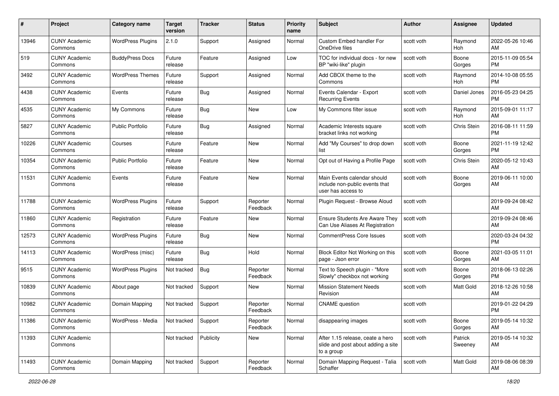| #     | Project                         | <b>Category name</b>     | <b>Target</b><br>version | <b>Tracker</b> | <b>Status</b>        | <b>Priority</b><br>name | Subject                                                                              | Author     | <b>Assignee</b>    | <b>Updated</b>                |
|-------|---------------------------------|--------------------------|--------------------------|----------------|----------------------|-------------------------|--------------------------------------------------------------------------------------|------------|--------------------|-------------------------------|
| 13946 | <b>CUNY Academic</b><br>Commons | <b>WordPress Plugins</b> | 2.1.0                    | Support        | Assigned             | Normal                  | Custom Embed handler For<br>OneDrive files                                           | scott voth | Raymond<br>Hoh     | 2022-05-26 10:46<br>AM        |
| 519   | <b>CUNY Academic</b><br>Commons | <b>BuddyPress Docs</b>   | Future<br>release        | Feature        | Assigned             | Low                     | TOC for individual docs - for new<br>BP "wiki-like" plugin                           | scott voth | Boone<br>Gorges    | 2015-11-09 05:54<br><b>PM</b> |
| 3492  | <b>CUNY Academic</b><br>Commons | <b>WordPress Themes</b>  | Future<br>release        | Support        | Assigned             | Normal                  | Add CBOX theme to the<br>Commons                                                     | scott voth | Raymond<br>Hoh     | 2014-10-08 05:55<br><b>PM</b> |
| 4438  | <b>CUNY Academic</b><br>Commons | Events                   | Future<br>release        | Bug            | Assigned             | Normal                  | Events Calendar - Export<br><b>Recurring Events</b>                                  | scott voth | Daniel Jones       | 2016-05-23 04:25<br><b>PM</b> |
| 4535  | <b>CUNY Academic</b><br>Commons | My Commons               | Future<br>release        | Bug            | New                  | Low                     | My Commons filter issue                                                              | scott voth | Raymond<br>Hoh     | 2015-09-01 11:17<br>AM        |
| 5827  | <b>CUNY Academic</b><br>Commons | <b>Public Portfolio</b>  | Future<br>release        | Bug            | Assigned             | Normal                  | Academic Interests square<br>bracket links not working                               | scott voth | Chris Stein        | 2016-08-11 11:59<br><b>PM</b> |
| 10226 | <b>CUNY Academic</b><br>Commons | Courses                  | Future<br>release        | Feature        | <b>New</b>           | Normal                  | Add "My Courses" to drop down<br>list                                                | scott voth | Boone<br>Gorges    | 2021-11-19 12:42<br><b>PM</b> |
| 10354 | <b>CUNY Academic</b><br>Commons | <b>Public Portfolio</b>  | Future<br>release        | Feature        | <b>New</b>           | Normal                  | Opt out of Having a Profile Page                                                     | scott voth | Chris Stein        | 2020-05-12 10:43<br>AM        |
| 11531 | <b>CUNY Academic</b><br>Commons | Events                   | Future<br>release        | Feature        | New                  | Normal                  | Main Events calendar should<br>include non-public events that<br>user has access to  | scott voth | Boone<br>Gorges    | 2019-06-11 10:00<br>AM        |
| 11788 | <b>CUNY Academic</b><br>Commons | <b>WordPress Plugins</b> | Future<br>release        | Support        | Reporter<br>Feedback | Normal                  | Plugin Request - Browse Aloud                                                        | scott voth |                    | 2019-09-24 08:42<br>AM        |
| 11860 | <b>CUNY Academic</b><br>Commons | Registration             | Future<br>release        | Feature        | New                  | Normal                  | Ensure Students Are Aware They<br>Can Use Aliases At Registration                    | scott voth |                    | 2019-09-24 08:46<br>AM        |
| 12573 | <b>CUNY Academic</b><br>Commons | <b>WordPress Plugins</b> | Future<br>release        | <b>Bug</b>     | <b>New</b>           | Normal                  | <b>CommentPress Core Issues</b>                                                      | scott voth |                    | 2020-03-24 04:32<br><b>PM</b> |
| 14113 | <b>CUNY Academic</b><br>Commons | WordPress (misc)         | Future<br>release        | <b>Bug</b>     | Hold                 | Normal                  | Block Editor Not Working on this<br>page - Json error                                | scott voth | Boone<br>Gorges    | 2021-03-05 11:01<br>AM        |
| 9515  | <b>CUNY Academic</b><br>Commons | <b>WordPress Plugins</b> | Not tracked              | <b>Bug</b>     | Reporter<br>Feedback | Normal                  | Text to Speech plugin - "More<br>Slowly" checkbox not working                        | scott voth | Boone<br>Gorges    | 2018-06-13 02:26<br><b>PM</b> |
| 10839 | <b>CUNY Academic</b><br>Commons | About page               | Not tracked              | Support        | New                  | Normal                  | <b>Mission Statement Needs</b><br>Revision                                           | scott voth | Matt Gold          | 2018-12-26 10:58<br>AM        |
| 10982 | <b>CUNY Academic</b><br>Commons | Domain Mapping           | Not tracked              | Support        | Reporter<br>Feedback | Normal                  | <b>CNAME</b> question                                                                | scott voth |                    | 2019-01-22 04:29<br><b>PM</b> |
| 11386 | <b>CUNY Academic</b><br>Commons | WordPress - Media        | Not tracked              | Support        | Reporter<br>Feedback | Normal                  | disappearing images                                                                  | scott voth | Boone<br>Gorges    | 2019-05-14 10:32<br>AM        |
| 11393 | <b>CUNY Academic</b><br>Commons |                          | Not tracked              | Publicity      | New                  | Normal                  | After 1.15 release, ceate a hero<br>slide and post about adding a site<br>to a group | scott voth | Patrick<br>Sweeney | 2019-05-14 10:32<br>AM        |
| 11493 | <b>CUNY Academic</b><br>Commons | Domain Mapping           | Not tracked              | Support        | Reporter<br>Feedback | Normal                  | Domain Mapping Request - Talia<br>Schaffer                                           | scott voth | Matt Gold          | 2019-08-06 08:39<br>AM        |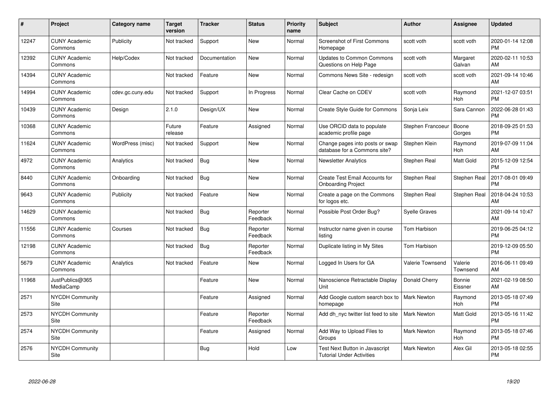| #     | <b>Project</b>                  | <b>Category name</b> | <b>Target</b><br>version | <b>Tracker</b> | <b>Status</b>        | <b>Priority</b><br>name | Subject                                                            | Author               | <b>Assignee</b>       | <b>Updated</b>                |
|-------|---------------------------------|----------------------|--------------------------|----------------|----------------------|-------------------------|--------------------------------------------------------------------|----------------------|-----------------------|-------------------------------|
| 12247 | <b>CUNY Academic</b><br>Commons | Publicity            | Not tracked              | Support        | <b>New</b>           | Normal                  | <b>Screenshot of First Commons</b><br>Homepage                     | scott voth           | scott voth            | 2020-01-14 12:08<br><b>PM</b> |
| 12392 | <b>CUNY Academic</b><br>Commons | Help/Codex           | Not tracked              | Documentation  | <b>New</b>           | Normal                  | <b>Updates to Common Commons</b><br>Questions on Help Page         | scott voth           | Margaret<br>Galvan    | 2020-02-11 10:53<br>AM        |
| 14394 | <b>CUNY Academic</b><br>Commons |                      | Not tracked              | Feature        | <b>New</b>           | Normal                  | Commons News Site - redesign                                       | scott voth           | scott voth            | 2021-09-14 10:46<br>AM        |
| 14994 | <b>CUNY Academic</b><br>Commons | cdev.gc.cuny.edu     | Not tracked              | Support        | In Progress          | Normal                  | Clear Cache on CDEV                                                | scott voth           | Raymond<br><b>Hoh</b> | 2021-12-07 03:51<br><b>PM</b> |
| 10439 | <b>CUNY Academic</b><br>Commons | Design               | 2.1.0                    | Design/UX      | <b>New</b>           | Normal                  | <b>Create Style Guide for Commons</b>                              | Sonja Leix           | Sara Cannon           | 2022-06-28 01:43<br><b>PM</b> |
| 10368 | <b>CUNY Academic</b><br>Commons |                      | Future<br>release        | Feature        | Assigned             | Normal                  | Use ORCID data to populate<br>academic profile page                | Stephen Francoeur    | Boone<br>Gorges       | 2018-09-25 01:53<br><b>PM</b> |
| 11624 | <b>CUNY Academic</b><br>Commons | WordPress (misc)     | Not tracked              | Support        | <b>New</b>           | Normal                  | Change pages into posts or swap<br>database for a Commons site?    | Stephen Klein        | Raymond<br><b>Hoh</b> | 2019-07-09 11:04<br>AM        |
| 4972  | <b>CUNY Academic</b><br>Commons | Analytics            | Not tracked              | <b>Bug</b>     | <b>New</b>           | Normal                  | <b>Newsletter Analytics</b>                                        | Stephen Real         | Matt Gold             | 2015-12-09 12:54<br><b>PM</b> |
| 8440  | <b>CUNY Academic</b><br>Commons | Onboarding           | Not tracked              | <b>Bug</b>     | <b>New</b>           | Normal                  | <b>Create Test Email Accounts for</b><br><b>Onboarding Project</b> | Stephen Real         | Stephen Real          | 2017-08-01 09:49<br><b>PM</b> |
| 9643  | <b>CUNY Academic</b><br>Commons | Publicity            | Not tracked              | Feature        | <b>New</b>           | Normal                  | Create a page on the Commons<br>for logos etc.                     | Stephen Real         | Stephen Real          | 2018-04-24 10:53<br>AM        |
| 14629 | <b>CUNY Academic</b><br>Commons |                      | Not tracked              | <b>Bug</b>     | Reporter<br>Feedback | Normal                  | Possible Post Order Bug?                                           | <b>Syelle Graves</b> |                       | 2021-09-14 10:47<br>AM        |
| 11556 | <b>CUNY Academic</b><br>Commons | Courses              | Not tracked              | <b>Bug</b>     | Reporter<br>Feedback | Normal                  | Instructor name given in course<br>listing                         | Tom Harbison         |                       | 2019-06-25 04:12<br><b>PM</b> |
| 12198 | <b>CUNY Academic</b><br>Commons |                      | Not tracked              | <b>Bug</b>     | Reporter<br>Feedback | Normal                  | Duplicate listing in My Sites                                      | Tom Harbison         |                       | 2019-12-09 05:50<br><b>PM</b> |
| 5679  | <b>CUNY Academic</b><br>Commons | Analytics            | Not tracked              | Feature        | New                  | Normal                  | Logged In Users for GA                                             | Valerie Townsend     | Valerie<br>Townsend   | 2016-06-11 09:49<br>AM        |
| 11968 | JustPublics@365<br>MediaCamp    |                      |                          | Feature        | New                  | Normal                  | Nanoscience Retractable Display<br>Unit                            | Donald Cherry        | Bonnie<br>Eissner     | 2021-02-19 08:50<br>AM        |
| 2571  | <b>NYCDH Community</b><br>Site  |                      |                          | Feature        | Assigned             | Normal                  | Add Google custom search box to<br>homepage                        | <b>Mark Newton</b>   | Raymond<br>Hoh        | 2013-05-18 07:49<br><b>PM</b> |
| 2573  | <b>NYCDH Community</b><br>Site  |                      |                          | Feature        | Reporter<br>Feedback | Normal                  | Add dh nyc twitter list feed to site                               | <b>Mark Newton</b>   | <b>Matt Gold</b>      | 2013-05-16 11:42<br><b>PM</b> |
| 2574  | <b>NYCDH Community</b><br>Site  |                      |                          | Feature        | Assigned             | Normal                  | Add Way to Upload Files to<br>Groups                               | <b>Mark Newton</b>   | Raymond<br>Hoh        | 2013-05-18 07:46<br><b>PM</b> |
| 2576  | <b>NYCDH Community</b><br>Site  |                      |                          | <b>Bug</b>     | Hold                 | Low                     | Test Next Button in Javascript<br><b>Tutorial Under Activities</b> | Mark Newton          | Alex Gil              | 2013-05-18 02:55<br>PM        |